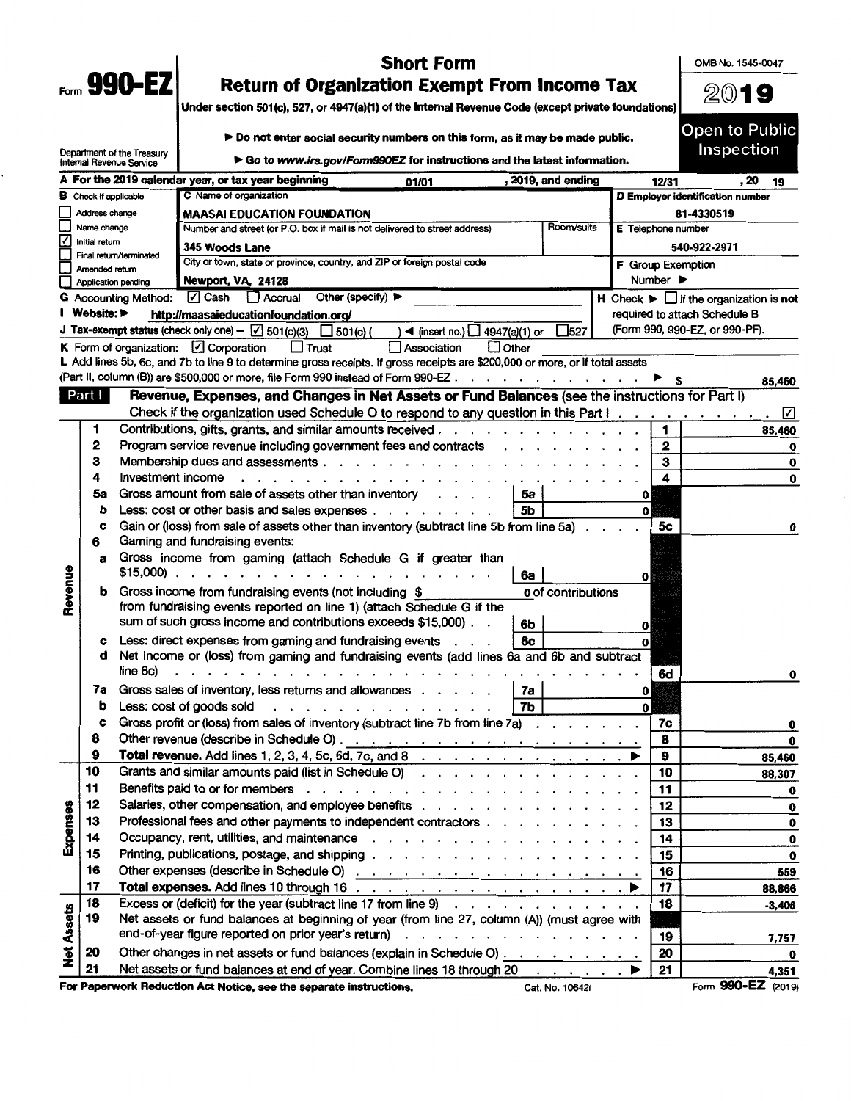|                         |                               |                                                           | <b>Short Form</b>                                                                                                                                                                                                                   |            |                          |                              | OMB No. 1545-0047                                               |
|-------------------------|-------------------------------|-----------------------------------------------------------|-------------------------------------------------------------------------------------------------------------------------------------------------------------------------------------------------------------------------------------|------------|--------------------------|------------------------------|-----------------------------------------------------------------|
| $_{\text{Form}}$ 990-EZ |                               |                                                           | <b>Return of Organization Exempt From Income Tax</b>                                                                                                                                                                                | 2019       |                          |                              |                                                                 |
|                         |                               |                                                           | Under section 501(c), 527, or 4947(a)(1) of the Internal Revenue Code (except private foundations)                                                                                                                                  |            |                          |                              |                                                                 |
|                         |                               |                                                           | Do not enter social security numbers on this form, as it may be made public.                                                                                                                                                        |            |                          |                              | Open to Public                                                  |
|                         |                               | Department of the Treasury<br>Internal Revenue Service    | $\triangleright$ Go to www.irs.gov/Form990EZ for instructions and the latest information.                                                                                                                                           |            |                          |                              | Inspection                                                      |
|                         |                               |                                                           | A For the 2019 calendar year, or tax year beginning<br>, 2019, and ending<br>01/01                                                                                                                                                  |            |                          | 12/31                        | , 20<br>19                                                      |
|                         | <b>B</b> Check if applicable: |                                                           | C Name of organization                                                                                                                                                                                                              |            |                          |                              | D Employer identification number                                |
|                         | Address change                |                                                           | <b>MAASAI EDUCATION FOUNDATION</b>                                                                                                                                                                                                  |            |                          |                              | 81-4330519                                                      |
|                         | Name change<br>Initial return |                                                           | Number and street (or P.O. box if mail is not delivered to street address)                                                                                                                                                          | Room/suite | E Telephone number       |                              |                                                                 |
|                         |                               | Final return/terminated                                   | 345 Woods Lane<br>City or town, state or province, country, and ZIP or foreign postal code                                                                                                                                          |            |                          |                              | 540-922-2971                                                    |
|                         | Amended return                |                                                           | Newport, VA, 24128                                                                                                                                                                                                                  |            | <b>F</b> Group Exemption | Number $\blacktriangleright$ |                                                                 |
|                         |                               | <b>Application pending</b><br><b>G</b> Accounting Method: | <b>√</b> Cash<br>Accrual<br>Other (specify) $\blacktriangleright$                                                                                                                                                                   |            |                          |                              | $H$ Check $\blacktriangleright \Box$ if the organization is not |
|                         | Website:                      |                                                           | http://maasaieducationfoundation.org/                                                                                                                                                                                               |            |                          |                              | required to attach Schedule B                                   |
|                         |                               |                                                           | J Tax-exempt status (check only one) - $\boxed{\triangle}$ 501(c)(3)<br>$\Box$ 501(c) (<br>$\blacktriangleleft$ (insert no.) $\Box$ 4947(a)(1) or                                                                                   | $\Box$ 527 |                          |                              | (Form 990, 990-EZ, or 990-PF).                                  |
|                         |                               |                                                           | K Form of organization: $\Box$ Corporation<br>$\Box$ Trust<br>$\Box$ Other<br>Association                                                                                                                                           |            |                          |                              |                                                                 |
|                         |                               |                                                           | L Add lines 5b, 6c, and 7b to line 9 to determine gross receipts. If gross receipts are \$200,000 or more, or if total assets                                                                                                       |            |                          |                              |                                                                 |
|                         |                               |                                                           | (Part II, column (B)) are \$500,000 or more, file Form 990 instead of Form 990-EZ.                                                                                                                                                  |            |                          |                              | 85,460                                                          |
|                         | Part I                        |                                                           | Revenue, Expenses, and Changes in Net Assets or Fund Balances (see the instructions for Part I)                                                                                                                                     |            |                          |                              |                                                                 |
|                         |                               |                                                           | Check if the organization used Schedule O to respond to any question in this Part I.                                                                                                                                                |            |                          |                              | ☑                                                               |
|                         | 1                             |                                                           | Contributions, gifts, grants, and similar amounts received.<br>and the state of the state of the                                                                                                                                    |            |                          | 1                            | 85,460                                                          |
|                         | 2<br>з                        |                                                           | Program service revenue including government fees and contracts                                                                                                                                                                     |            |                          | 2                            | 0                                                               |
|                         | 4                             | Investment income                                         | Membership dues and assessments.                                                                                                                                                                                                    |            |                          | з<br>4                       | 0<br>0                                                          |
|                         | 5а                            |                                                           | Gross amount from sale of assets other than inventory<br>5а                                                                                                                                                                         |            | 0                        |                              |                                                                 |
|                         | b                             |                                                           | Less: cost or other basis and sales expenses.<br>5b<br>$\cdot$ $\cdot$ $\cdot$ $\cdot$ $\cdot$ $\cdot$ $\cdot$                                                                                                                      |            | $\mathbf{v}$             |                              |                                                                 |
|                         | c                             |                                                           | Gain or (loss) from sale of assets other than inventory (subtract line 5b from line 5a)                                                                                                                                             |            |                          | 5с                           | 0                                                               |
|                         | 6                             |                                                           | Gaming and fundraising events:                                                                                                                                                                                                      |            |                          |                              |                                                                 |
|                         | a                             |                                                           | Gross income from gaming (attach Schedule G if greater than                                                                                                                                                                         |            |                          |                              |                                                                 |
| Revenue                 |                               | $$15,000$ ).                                              | $\mathbf{r}$ , $\mathbf{r}$ , $\mathbf{r}$ , $\mathbf{r}$ , $\mathbf{r}$<br>6а                                                                                                                                                      |            | $\mathbf{0}$             |                              |                                                                 |
|                         |                               |                                                           | Gross income from fundraising events (not including \$<br>0 of contributions                                                                                                                                                        |            |                          |                              |                                                                 |
|                         |                               |                                                           | from fundraising events reported on line 1) (attach Schedule G if the<br>sum of such gross income and contributions exceeds \$15,000).                                                                                              |            |                          |                              |                                                                 |
|                         |                               |                                                           | 6b                                                                                                                                                                                                                                  |            | $\mathbf{0}$             |                              |                                                                 |
|                         | с<br>đ                        |                                                           | Less: direct expenses from gaming and fundraising events<br>6с<br>Net income or (loss) from gaming and fundraising events (add lines 6a and 6b and subtract                                                                         |            | $\mathbf{o}$             |                              |                                                                 |
|                         |                               | line 6c)                                                  | .                                                                                                                                                                                                                                   |            |                          | 6d                           | 0                                                               |
|                         | 7a                            |                                                           | Gross sales of inventory, less returns and allowances<br>7a                                                                                                                                                                         |            | 0                        |                              |                                                                 |
|                         | b                             |                                                           | Less: cost of goods sold<br>7b<br>.                                                                                                                                                                                                 |            | $\mathbf{0}$             |                              |                                                                 |
|                         | c                             |                                                           | Gross profit or (loss) from sales of inventory (subtract line 7b from line 7a) $\ldots$                                                                                                                                             |            |                          | 7c                           | 0                                                               |
|                         | 8                             |                                                           |                                                                                                                                                                                                                                     |            |                          | 8                            | 0                                                               |
|                         | 9                             |                                                           | Total revenue. Add lines 1, 2, 3, 4, 5c, 6d, 7c, and 8 $\ldots$ $\ldots$ $\ldots$ $\ldots$                                                                                                                                          |            |                          | 9                            | 85,460                                                          |
|                         | 10                            |                                                           | Grants and similar amounts paid (list in Schedule O)                                                                                                                                                                                |            |                          | 10                           | 88,307                                                          |
|                         | 11                            |                                                           |                                                                                                                                                                                                                                     |            |                          | 11                           | 0                                                               |
| Expenses                | 12<br>13                      |                                                           | Salaries, other compensation, and employee benefits                                                                                                                                                                                 |            |                          | 12                           | 0                                                               |
|                         | 14                            |                                                           | Professional fees and other payments to independent contractors                                                                                                                                                                     |            |                          | 13<br>14                     | 0                                                               |
|                         | 15                            |                                                           |                                                                                                                                                                                                                                     |            |                          | 15                           | $\mathbf 0$<br>$\bf{o}$                                         |
|                         | 16                            |                                                           | Other expenses (describe in Schedule O) <u>parameters and produced</u> in the set of the schedule O) and the set of the set of the set of the set of the set of the set of the set of the set of the set of the set of the set of t |            |                          | 16                           | 559                                                             |
|                         | 17                            |                                                           |                                                                                                                                                                                                                                     |            |                          | 17                           | 88,866                                                          |
|                         | 18                            |                                                           | Excess or (deficit) for the year (subtract line 17 from line 9) $\ldots$ $\ldots$ $\ldots$ $\ldots$                                                                                                                                 |            |                          | 18                           | $-3,406$                                                        |
|                         | 19                            |                                                           | Net assets or fund balances at beginning of year (from line 27, column (A)) (must agree with                                                                                                                                        |            |                          |                              |                                                                 |
|                         |                               |                                                           | end-of-year figure reported on prior year's return)                                                                                                                                                                                 |            |                          | 19                           | 7,757                                                           |
| <b>Net Assets</b>       | 20                            |                                                           | Other changes in net assets or fund balances (explain in Schedule O)                                                                                                                                                                |            |                          | 20                           | 0                                                               |
|                         | 21                            |                                                           | Net assets or fund balances at end of year. Combine lines 18 through 20<br>and a state of the state                                                                                                                                 |            |                          | 21                           | 4,351                                                           |
|                         |                               |                                                           | For Paperwork Reduction Act Notice, see the separate instructions.<br>Cat. No. 10642I                                                                                                                                               |            |                          |                              | Form 990-EZ (2019)                                              |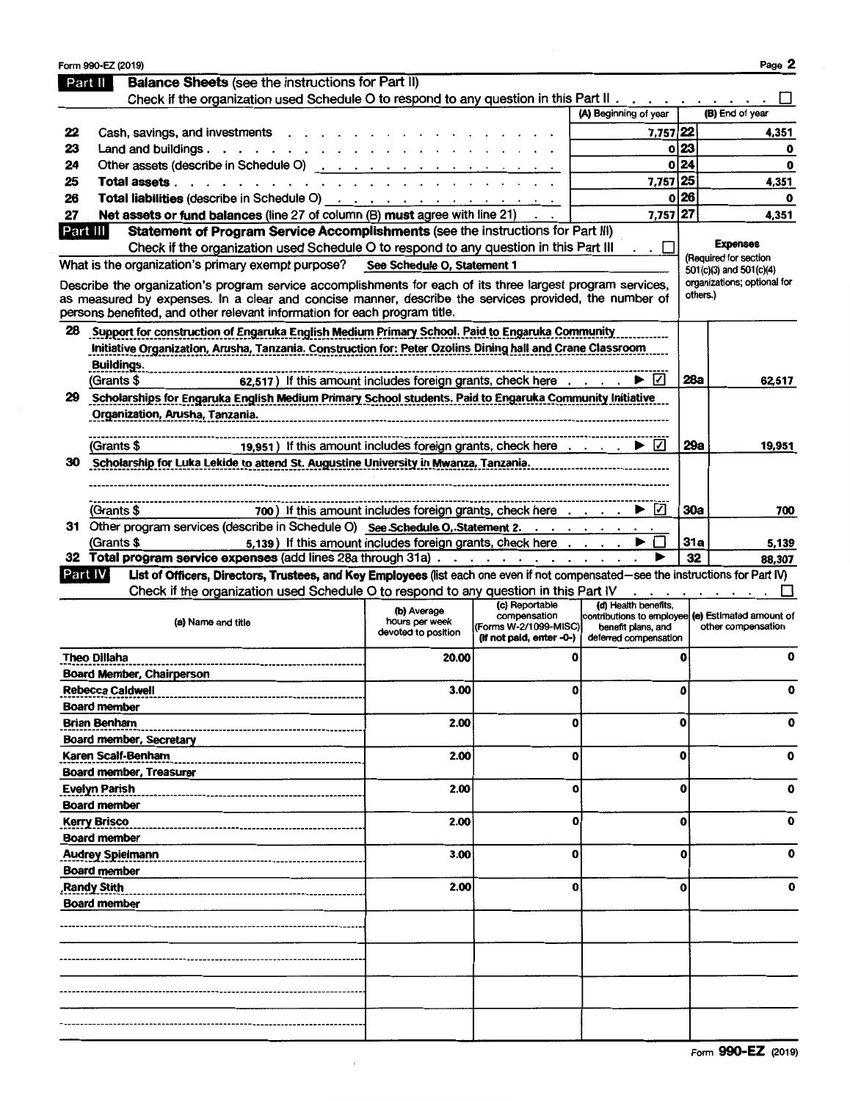|          | Form 990-EZ (2019)                                                                                                                                                                                                   |                                       |                          |                          |            | Page 2                                            |
|----------|----------------------------------------------------------------------------------------------------------------------------------------------------------------------------------------------------------------------|---------------------------------------|--------------------------|--------------------------|------------|---------------------------------------------------|
|          | <b>Balance Sheets (see the instructions for Part II)</b><br>Part II                                                                                                                                                  |                                       |                          |                          |            |                                                   |
|          | Check if the organization used Schedule O to respond to any question in this Part II                                                                                                                                 |                                       |                          |                          |            |                                                   |
|          |                                                                                                                                                                                                                      |                                       |                          | (A) Beginning of year    |            | (B) End of year                                   |
| 22       | Cash, savings, and investments                                                                                                                                                                                       |                                       |                          | 7,757 22                 |            | 4,351                                             |
| 23       | Land and buildings.<br>$\mathbf{r}$ , $\mathbf{r}$ , $\mathbf{r}$ , $\mathbf{r}$ , $\mathbf{r}$                                                                                                                      |                                       |                          |                          | 023        | 0                                                 |
| 24       | Other assets (describe in Schedule O)                                                                                                                                                                                |                                       |                          | O                        | 24         | 0                                                 |
| 25       | Total assets.                                                                                                                                                                                                        |                                       |                          | 7,757 25                 |            | 4,351                                             |
| 26       |                                                                                                                                                                                                                      |                                       |                          | 0                        | 26         | O                                                 |
| 27       | Net assets or fund balances (line 27 of column (B) must agree with line 21)                                                                                                                                          |                                       |                          | 7,757 27                 |            | 4,351                                             |
| Part III | Statement of Program Service Accomplishments (see the instructions for Part III)                                                                                                                                     |                                       |                          |                          |            |                                                   |
|          |                                                                                                                                                                                                                      |                                       |                          |                          |            | <b>Expenses</b>                                   |
|          | Check if the organization used Schedule O to respond to any question in this Part III                                                                                                                                |                                       |                          | $\mathbf{L}$             |            | (Required for section                             |
|          | What is the organization's primary exempt purpose? See Schedule O, Statement 1                                                                                                                                       |                                       |                          |                          |            | 501(c)(3) and 501(c)(4)                           |
|          | Describe the organization's program service accomplishments for each of its three largest program services,<br>as measured by expenses. In a clear and concise manner, describe the services provided, the number of |                                       |                          |                          |            | organizations; optional for<br>others.)           |
|          | persons benefited, and other relevant information for each program title.                                                                                                                                            |                                       |                          |                          |            |                                                   |
| 28       | Support for construction of Engaruka English Medium Primary School. Paid to Engaruka Community                                                                                                                       |                                       |                          |                          |            |                                                   |
|          | Initiative Organization, Arusha, Tanzania. Construction for: Peter Ozolins Dining hall and Crane Classroom                                                                                                           |                                       |                          |                          |            |                                                   |
|          | Buildings.                                                                                                                                                                                                           |                                       |                          |                          |            |                                                   |
|          | 62,517) If this amount includes foreign grants, check here $\dots$ $\Box$<br>(Grants \$                                                                                                                              |                                       |                          |                          | 28a        | 62,517                                            |
| 29.      | Scholarships for Engaruka English Medium Primary School students. Paid to Engaruka Community Initiative                                                                                                              |                                       |                          |                          |            |                                                   |
|          | Organization, Arusha, Tanzania.                                                                                                                                                                                      |                                       |                          |                          |            |                                                   |
|          |                                                                                                                                                                                                                      |                                       |                          |                          |            |                                                   |
|          | 19,951) If this amount includes foreign grants, check here<br>(Grants \$                                                                                                                                             |                                       |                          | ▶  √                     | 29a        | 19,951                                            |
| 30       | Scholarship for Luka Lekide to attend St. Augustine University in Mwanza, Tanzania.                                                                                                                                  |                                       |                          |                          |            |                                                   |
|          |                                                                                                                                                                                                                      |                                       |                          |                          |            |                                                   |
|          |                                                                                                                                                                                                                      |                                       |                          |                          |            |                                                   |
|          | 700) If this amount includes foreign grants, check here $\dots$ $\rightarrow$<br>(Grants \$                                                                                                                          |                                       |                          | $\vert \checkmark \vert$ | <b>30a</b> | 700                                               |
|          | 31 Other program services (describe in Schedule O) See Schedule O, Statement 2.                                                                                                                                      |                                       |                          |                          |            |                                                   |
|          |                                                                                                                                                                                                                      |                                       |                          |                          | 31a        |                                                   |
|          | 5,139) If this amount includes foreign grants, check here<br>(Grants \$<br>32 Total program service expenses (add lines 28a through 31a)                                                                             |                                       |                          |                          | 32         | 5.139                                             |
|          |                                                                                                                                                                                                                      |                                       |                          |                          |            | 88,307                                            |
|          | List of Officers, Directors, Trustees, and Key Employees (list each one even if not compensated-see the instructions for Part IV)<br>Part IV                                                                         |                                       |                          |                          |            |                                                   |
|          | Check if the organization used Schedule O to respond to any question in this Part IV                                                                                                                                 |                                       | (c) Reportable           | (d) Health benefits,     |            |                                                   |
|          |                                                                                                                                                                                                                      | (b) Average                           | compensation             |                          |            | contributions to employee (e) Estimated amount of |
|          | (a) Name and title                                                                                                                                                                                                   | hours per week<br>devoted to position | (Forms W-2/1099-MISC)    | benefit plans, and       |            | other compensation                                |
|          |                                                                                                                                                                                                                      |                                       | (if not paid, enter -0-) | deferred compensation    |            |                                                   |
|          | <b>Theo Dillaha</b>                                                                                                                                                                                                  | 20.00                                 | O                        |                          | 0          | 0                                                 |
|          | <b>Board Member, Chairperson</b>                                                                                                                                                                                     |                                       |                          |                          |            |                                                   |
|          | <b>Rebecca Caldwell</b>                                                                                                                                                                                              | 3.00                                  | $\mathbf{o}$             |                          | 0          | ٥                                                 |
|          | <b>Board member</b>                                                                                                                                                                                                  |                                       |                          |                          |            |                                                   |
|          | <b>Brian Benham</b>                                                                                                                                                                                                  | 2.00                                  | 0                        |                          | O          | 0                                                 |
|          | Board member, Secretary                                                                                                                                                                                              |                                       |                          |                          |            |                                                   |
|          | Karen Scalf-Benham                                                                                                                                                                                                   | 2.00                                  | 0                        |                          | o          | 0                                                 |
|          | <b>Board member, Treasurer</b>                                                                                                                                                                                       |                                       |                          |                          |            |                                                   |
|          | <b>Evelyn Parish</b>                                                                                                                                                                                                 | 2.00                                  | 0                        |                          | o          | 0                                                 |
|          | <b>Board member</b>                                                                                                                                                                                                  |                                       |                          |                          |            |                                                   |
|          | <b>Kerry Brisco</b>                                                                                                                                                                                                  | 2.00                                  | 0                        |                          | 0          | 0                                                 |
|          |                                                                                                                                                                                                                      |                                       |                          |                          |            |                                                   |
|          | <b>Board member</b>                                                                                                                                                                                                  |                                       |                          |                          |            | U                                                 |
|          | <b>Audrey Spielmann</b>                                                                                                                                                                                              | 3.00                                  | $\bf{0}$                 |                          | o          |                                                   |
|          | <b>Board member</b>                                                                                                                                                                                                  |                                       |                          |                          |            |                                                   |
|          | <b>Randy Stith</b>                                                                                                                                                                                                   | 2.00                                  | 0                        |                          | O          |                                                   |
|          | <b>Board member</b>                                                                                                                                                                                                  |                                       |                          |                          |            |                                                   |
|          |                                                                                                                                                                                                                      |                                       |                          |                          |            |                                                   |
|          |                                                                                                                                                                                                                      |                                       |                          |                          |            |                                                   |
|          |                                                                                                                                                                                                                      |                                       |                          |                          |            |                                                   |
|          |                                                                                                                                                                                                                      |                                       |                          |                          |            |                                                   |
|          |                                                                                                                                                                                                                      |                                       |                          |                          |            |                                                   |
|          |                                                                                                                                                                                                                      |                                       |                          |                          |            |                                                   |
|          |                                                                                                                                                                                                                      |                                       |                          |                          |            |                                                   |
|          |                                                                                                                                                                                                                      |                                       |                          |                          |            |                                                   |
|          |                                                                                                                                                                                                                      |                                       |                          |                          |            |                                                   |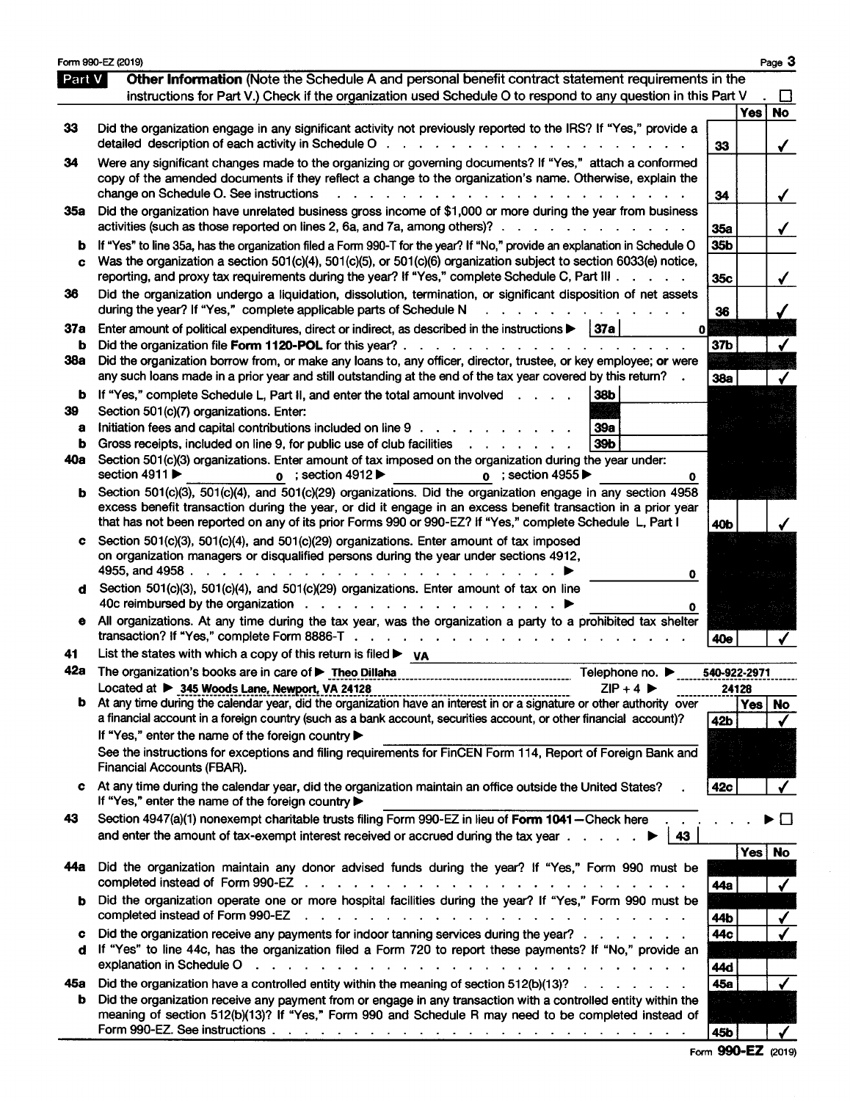|        | Form 990-EZ (2019)                                                                                                                                                                                                                                                                                                                                                                                             |                 |            | Page 3    |
|--------|----------------------------------------------------------------------------------------------------------------------------------------------------------------------------------------------------------------------------------------------------------------------------------------------------------------------------------------------------------------------------------------------------------------|-----------------|------------|-----------|
| Part V | <b>Other Information</b> (Note the Schedule A and personal benefit contract statement requirements in the<br>instructions for Part V.) Check if the organization used Schedule O to respond to any question in this Part V                                                                                                                                                                                     |                 |            |           |
|        |                                                                                                                                                                                                                                                                                                                                                                                                                |                 | <b>Yes</b> | No        |
| 33     | Did the organization engage in any significant activity not previously reported to the IRS? If "Yes," provide a<br>detailed description of each activity in Schedule O<br><u>na na kaominina mpikambana na kaominina mpikambana na kaominina mpikambana na kaominina mpikambana na kaominina mpikambana na kaominina mpikambana na kaominina mpikambana na kaominina mpikambana na kaominina mpikambana na</u> | 33              |            | ✔         |
| 34     | Were any significant changes made to the organizing or governing documents? If "Yes," attach a conformed                                                                                                                                                                                                                                                                                                       |                 |            |           |
|        | copy of the amended documents if they reflect a change to the organization's name. Otherwise, explain the                                                                                                                                                                                                                                                                                                      |                 |            |           |
|        | change on Schedule O. See instructions<br>.                                                                                                                                                                                                                                                                                                                                                                    | 34              |            |           |
| 35a    | Did the organization have unrelated business gross income of \$1,000 or more during the year from business<br>activities (such as those reported on lines 2, 6a, and 7a, among others)?.<br>and the contract of the contract of                                                                                                                                                                                | 35a             |            | ✔         |
| b      | If "Yes" to line 35a, has the organization filed a Form 990-T for the year? If "No," provide an explanation in Schedule O                                                                                                                                                                                                                                                                                      | 35b             |            |           |
| c      | Was the organization a section 501(c)(4), 501(c)(5), or 501(c)(6) organization subject to section 6033(e) notice,<br>reporting, and proxy tax requirements during the year? If "Yes," complete Schedule C, Part III                                                                                                                                                                                            |                 |            |           |
| 36     | Did the organization undergo a liquidation, dissolution, termination, or significant disposition of net assets                                                                                                                                                                                                                                                                                                 | 35c             |            |           |
|        | during the year? If "Yes," complete applicable parts of Schedule N<br><b><i>Contract Contract Artist</i></b>                                                                                                                                                                                                                                                                                                   | 36              |            |           |
| 37a    | Enter amount of political expenditures, direct or indirect, as described in the instructions $\blacktriangleright$   37a  <br>0                                                                                                                                                                                                                                                                                |                 |            |           |
| b      | Did the organization file Form 1120-POL for this year? $\ldots$ $\ldots$ $\ldots$ $\ldots$ $\ldots$ $\ldots$                                                                                                                                                                                                                                                                                                   | 37b             |            |           |
| 38a    | Did the organization borrow from, or make any loans to, any officer, director, trustee, or key employee; or were                                                                                                                                                                                                                                                                                               |                 |            |           |
|        | any such loans made in a prior year and still outstanding at the end of the tax year covered by this return?                                                                                                                                                                                                                                                                                                   | 38a             |            |           |
|        | <b>b</b> If "Yes," complete Schedule L, Part II, and enter the total amount involved<br>38b                                                                                                                                                                                                                                                                                                                    |                 |            |           |
| 39     | Section 501(c)(7) organizations. Enter:                                                                                                                                                                                                                                                                                                                                                                        |                 |            |           |
| a      | Initiation fees and capital contributions included on line 9<br>39a                                                                                                                                                                                                                                                                                                                                            |                 |            |           |
| b      | 39b<br>Gross receipts, included on line 9, for public use of club facilities<br>$\mathbf{r}$ and $\mathbf{r}$ and $\mathbf{r}$ and $\mathbf{r}$                                                                                                                                                                                                                                                                |                 |            |           |
| 40a    | Section 501(c)(3) organizations. Enter amount of tax imposed on the organization during the year under:<br>section 4911<br>$\alpha$ ; section 4912<br>$\mathbf{o}$ ; section 4955<br>0                                                                                                                                                                                                                         |                 |            |           |
| b      | Section 501(c)(3), 501(c)(4), and 501(c)(29) organizations. Did the organization engage in any section 4958                                                                                                                                                                                                                                                                                                    |                 |            |           |
|        | excess benefit transaction during the year, or did it engage in an excess benefit transaction in a prior year<br>that has not been reported on any of its prior Forms 990 or 990-EZ? If "Yes," complete Schedule L, Part I                                                                                                                                                                                     | 40 <sub>b</sub> |            |           |
| c      | Section 501(c)(3), 501(c)(4), and 501(c)(29) organizations. Enter amount of tax imposed                                                                                                                                                                                                                                                                                                                        |                 |            |           |
|        | on organization managers or disqualified persons during the year under sections 4912,                                                                                                                                                                                                                                                                                                                          |                 |            |           |
|        | 0<br>Section 501(c)(3), 501(c)(4), and 501(c)(29) organizations. Enter amount of tax on line                                                                                                                                                                                                                                                                                                                   |                 |            |           |
| d      | 40c reimbursed by the organization                                                                                                                                                                                                                                                                                                                                                                             |                 |            |           |
| e      | All organizations. At any time during the tax year, was the organization a party to a prohibited tax shelter<br>transaction? If "Yes," complete Form 8886-T                                                                                                                                                                                                                                                    | 40e             |            |           |
| 41     | List the states with which a copy of this return is filed $\blacktriangleright$ va                                                                                                                                                                                                                                                                                                                             |                 |            |           |
| 42a    | The organization's books are in care of ▶ Theo Dillaha<br>Telephone no. $\blacktriangleright$                                                                                                                                                                                                                                                                                                                  | 540-922-2971    |            |           |
|        | Located at > 345 Woods Lane, Newport, VA 24128<br>$ZIP + 4$<br>.                                                                                                                                                                                                                                                                                                                                               | 24128           |            |           |
| b      | At any time during the calendar year, did the organization have an interest in or a signature or other authority over<br>a financial account in a foreign country (such as a bank account, securities account, or other financial account)?                                                                                                                                                                    |                 | <b>Yes</b> | <b>No</b> |
|        | If "Yes," enter the name of the foreign country                                                                                                                                                                                                                                                                                                                                                                | 42b             |            |           |
|        | See the instructions for exceptions and filing requirements for FinCEN Form 114, Report of Foreign Bank and                                                                                                                                                                                                                                                                                                    |                 |            |           |
|        | Financial Accounts (FBAR).                                                                                                                                                                                                                                                                                                                                                                                     |                 |            |           |
| c      | At any time during the calendar year, did the organization maintain an office outside the United States?<br>If "Yes," enter the name of the foreign country >                                                                                                                                                                                                                                                  | 42c             |            |           |
| 43     | Section 4947(a)(1) nonexempt charitable trusts filing Form 990-EZ in lieu of Form 1041-Check here                                                                                                                                                                                                                                                                                                              |                 |            |           |
|        | and enter the amount of tax-exempt interest received or accrued during the tax year<br>43                                                                                                                                                                                                                                                                                                                      |                 |            |           |
|        |                                                                                                                                                                                                                                                                                                                                                                                                                |                 | Yes No     |           |
| 44а    | Did the organization maintain any donor advised funds during the year? If "Yes," Form 990 must be<br>completed instead of Form 990-EZ<br>$\frac{1}{2}$ , $\frac{1}{2}$ , $\frac{1}{2}$ , $\frac{1}{2}$ , $\frac{1}{2}$ , $\frac{1}{2}$ , $\frac{1}{2}$ , $\frac{1}{2}$ , $\frac{1}{2}$ , $\frac{1}{2}$                                                                                                         | 44a             |            |           |
| b      | Did the organization operate one or more hospital facilities during the year? If "Yes," Form 990 must be<br>completed instead of Form 990-EZ<br>فالمنافذ والمنافر فالقارف فالقارف فالقارف فالقارف فالمنافر                                                                                                                                                                                                     | 44b             |            |           |
| c      | Did the organization receive any payments for indoor tanning services during the year?                                                                                                                                                                                                                                                                                                                         | 44c             |            |           |
| d      | If "Yes" to line 44c, has the organization filed a Form 720 to report these payments? If "No," provide an                                                                                                                                                                                                                                                                                                      |                 |            |           |
|        | explanation in Schedule O<br>$\sim 10$ $\sim 10$                                                                                                                                                                                                                                                                                                                                                               | 44d             |            |           |
| 45а    | Did the organization have a controlled entity within the meaning of section $512(b)(13)?$                                                                                                                                                                                                                                                                                                                      | 45a             |            |           |
| b      | Did the organization receive any payment from or engage in any transaction with a controlled entity within the                                                                                                                                                                                                                                                                                                 |                 |            |           |
|        | meaning of section 512(b)(13)? If "Yes," Form 990 and Schedule R may need to be completed instead of                                                                                                                                                                                                                                                                                                           | 45 <b>b</b>     |            |           |

Form 990-EZ (2019)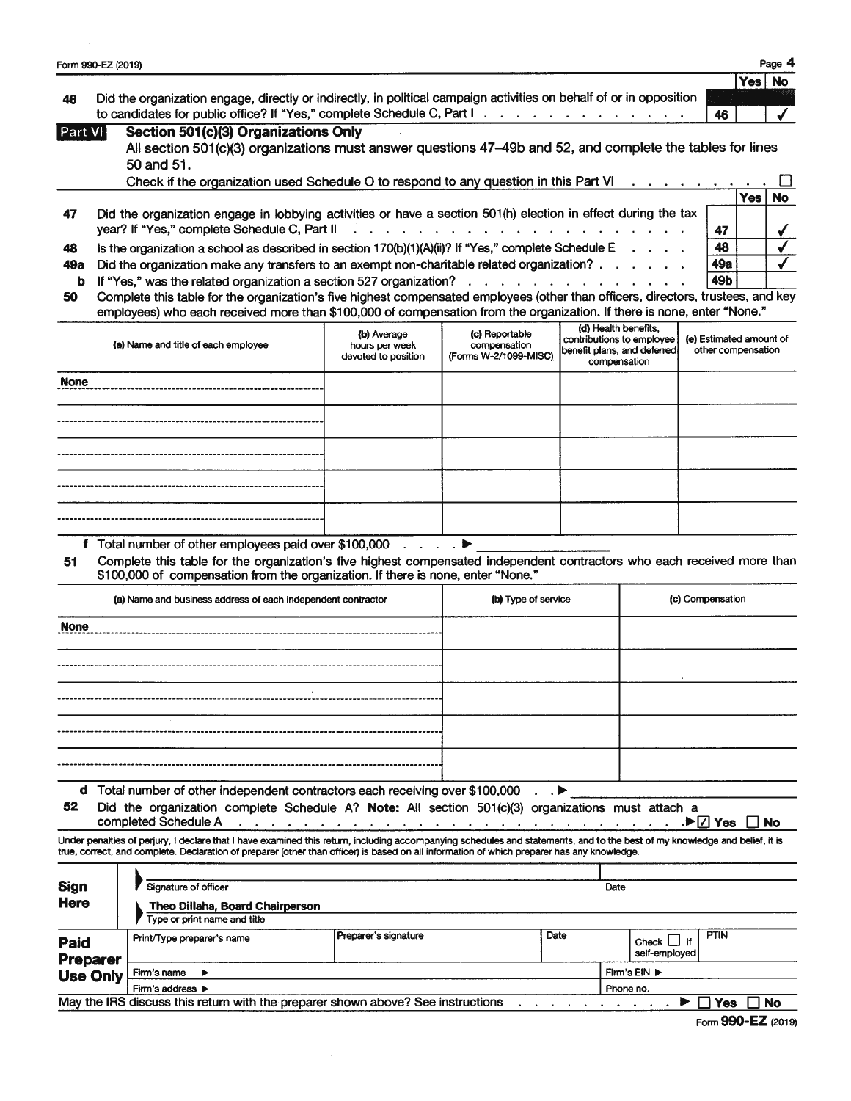|                | Form 990-EZ (2019)                                                                                                  |      | Page 4    |
|----------------|---------------------------------------------------------------------------------------------------------------------|------|-----------|
|                |                                                                                                                     | Yes! | <b>No</b> |
| 46             | Did the organization engage, directly or indirectly, in political campaign activities on behalf of or in opposition |      |           |
|                | to candidates for public office? If "Yes," complete Schedule C, Part I.<br>46                                       |      |           |
| <b>Part VI</b> | Section 501(c)(3) Organizations Only                                                                                |      |           |
|                | All section 501(c)(3) organizations must answer questions 47-49b and 52, and complete the tables for lines          |      |           |
|                | <b>EO and E1</b>                                                                                                    |      |           |

|     | .                                                                                                                                          |     |       |    |
|-----|--------------------------------------------------------------------------------------------------------------------------------------------|-----|-------|----|
|     | Check if the organization used Schedule O to respond to any question in this Part VI<br><u>in the second contract of the second second</u> |     |       |    |
|     |                                                                                                                                            |     | res i | No |
| 47  | Did the organization engage in lobbying activities or have a section 501(h) election in effect during the tax                              |     |       |    |
|     |                                                                                                                                            | 47  |       |    |
| 48  | Is the organization a school as described in section $170(b)(1)(A)(ii)?$ If "Yes," complete Schedule E $\ldots$ $\ldots$                   | 48  |       |    |
| 49а | Did the organization make any transfers to an exempt non-charitable related organization?                                                  | 49a |       |    |
|     | <b>b</b> If "Yes," was the related organization a section 527 organization? $\ldots$ $\ldots$ $\ldots$ $\ldots$ $\ldots$ $\ldots$          | 49b |       |    |
| 50  | Complete this table for the organization's five highest compensated employees (other than officers, directors, trustees, and key           |     |       |    |

employees) who each received more than \$100,000 of compensation from the organization. If there is none, enter "None."

| (a) Name and title of each employee | (b) Average<br>hours per week<br>devoted to position | (c) Reportable<br>compensation<br>(Forms W-2/1099-MISC) | (d) Health benefits,<br>contributions to employee<br>benefit plans, and deferred<br>compensation | (e) Estimated amount of<br>other compensation |
|-------------------------------------|------------------------------------------------------|---------------------------------------------------------|--------------------------------------------------------------------------------------------------|-----------------------------------------------|
| <b>None</b>                         |                                                      |                                                         |                                                                                                  |                                               |
|                                     |                                                      |                                                         |                                                                                                  |                                               |
|                                     |                                                      |                                                         |                                                                                                  |                                               |
|                                     |                                                      |                                                         |                                                                                                  |                                               |
|                                     |                                                      |                                                         |                                                                                                  |                                               |

f Total number of other employees paid over \$100,000 . . . . .  $\blacktriangleright$ 

51 Complete this table for the organization's five highest compensated independent contractors who each received more than \$100,000 of compensation from the organization. If there is none, enter "None."

| (a) Name and business address of each independent contractor                  | (b) Type of service | (c) Compensation |
|-------------------------------------------------------------------------------|---------------------|------------------|
| <b>None</b>                                                                   |                     |                  |
|                                                                               |                     |                  |
|                                                                               |                     |                  |
|                                                                               |                     |                  |
|                                                                               |                     |                  |
|                                                                               |                     |                  |
| d Total number of other independent contractors each receiving over \$100,000 | $\cdot$ $\cdot$     |                  |

**d** lotal number of other independent contractors each receiving over \$100,000 . . . <br>52 Did the organization complete Schedule A? Note: All section 501(c)(3) organizations must attach a

completed Schedule A . . . . . . . . . . . . . . . . . D Yes No  $\sim$  $\mathbf{r}$  $\mathbf{r}$  . The set of  $\mathbf{r}$  $\ddot{\phantom{a}}$ 

Under penalties of perjury, I declare that I have examined this return, including accompanying schedules and statements, and to the best of my knowledge and belief, it is true, correct, and complete. Declaration of preparer (other than officer) is based on all information of which preparer has any knowledge.

| <b>Sign</b><br><b>Here</b> | Signature of officer<br><b>Theo Dillaha, Board Chairperson</b><br>Type or print name and title |                      |      | Date      |                          |           |  |
|----------------------------|------------------------------------------------------------------------------------------------|----------------------|------|-----------|--------------------------|-----------|--|
| Paid<br><b>Preparer</b>    | Print/Type preparer's name                                                                     | Preparer's signature | Date |           | Check I<br>self-employed | PTIN      |  |
| <b>Use Only</b>            | Firm's name                                                                                    |                      |      |           | Firm's EIN ▶             |           |  |
|                            | Firm's address $\blacktriangleright$                                                           |                      |      | Phone no. |                          |           |  |
|                            | May the IRS discuss this return with the preparer shown above? See instructions                |                      |      |           |                          | No<br>Yes |  |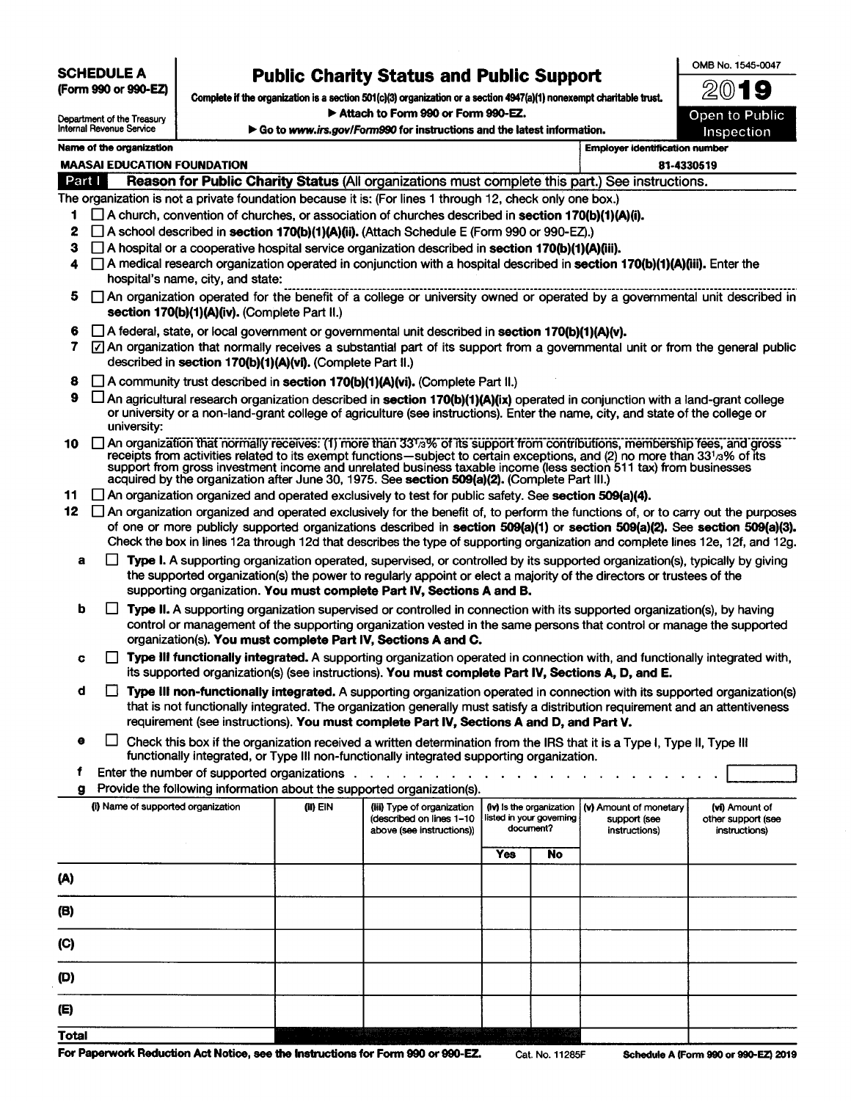**SCHEDULE A**  (Form 990 or 990-EZ)

# **Public Charity Status and Public Support**

OMB No. 1545-0047

Complete if the organization is a section 501(c)(3) organization or a section 4947(a)(1) nonexempt charitable trust. Attach to Form 990 or Form 990-EZ.

▶ Go to www.irs.gov/Form990 for instructions and the latest information.

~@19 Open to Public Inspection

| Department of the Treasury<br>Internal Revenue Service                                                        |
|---------------------------------------------------------------------------------------------------------------|
| his serve that the company and the service of the service of the service of the service of the service of the |

| <b>MAASAI EDUCATION FOUNDATION</b><br>Reason for Public Charity Status (All organizations must complete this part.) See instructions.<br>The organization is not a private foundation because it is: (For lines 1 through 12, check only one box.)<br>$\Box$ A church, convention of churches, or association of churches described in section 170(b)(1)(A)(i).<br>$\Box$ A school described in <b>section 170(b)(1)(A)(ii).</b> (Attach Schedule E (Form 990 or 990-EZ).)<br>$\Box$ A hospital or a cooperative hospital service organization described in section 170(b)(1)(A)(iii). |                                                   |                                                                                     |                                                            |                                                                                                                                                                                                                                  | 81-4330519                                                                                                                                                                                      |                                                                                                                                                                                                                                                                                                                                                                                                                                                                                                                                                                                                                                                                                                                                                                                                                                                                                                                                                                                                                                                                                                                                                                                                                                                                                                                                                                                                                                                                                                                                                                                                                                                                                                                                                                                                                                                                                                                                                                                                                                                                                                                                                                                                                                                                                                                                                                                                                                                                                                                                                                                                                                                                                                                                                                                                                                                                                                                                                                                                |
|----------------------------------------------------------------------------------------------------------------------------------------------------------------------------------------------------------------------------------------------------------------------------------------------------------------------------------------------------------------------------------------------------------------------------------------------------------------------------------------------------------------------------------------------------------------------------------------|---------------------------------------------------|-------------------------------------------------------------------------------------|------------------------------------------------------------|----------------------------------------------------------------------------------------------------------------------------------------------------------------------------------------------------------------------------------|-------------------------------------------------------------------------------------------------------------------------------------------------------------------------------------------------|------------------------------------------------------------------------------------------------------------------------------------------------------------------------------------------------------------------------------------------------------------------------------------------------------------------------------------------------------------------------------------------------------------------------------------------------------------------------------------------------------------------------------------------------------------------------------------------------------------------------------------------------------------------------------------------------------------------------------------------------------------------------------------------------------------------------------------------------------------------------------------------------------------------------------------------------------------------------------------------------------------------------------------------------------------------------------------------------------------------------------------------------------------------------------------------------------------------------------------------------------------------------------------------------------------------------------------------------------------------------------------------------------------------------------------------------------------------------------------------------------------------------------------------------------------------------------------------------------------------------------------------------------------------------------------------------------------------------------------------------------------------------------------------------------------------------------------------------------------------------------------------------------------------------------------------------------------------------------------------------------------------------------------------------------------------------------------------------------------------------------------------------------------------------------------------------------------------------------------------------------------------------------------------------------------------------------------------------------------------------------------------------------------------------------------------------------------------------------------------------------------------------------------------------------------------------------------------------------------------------------------------------------------------------------------------------------------------------------------------------------------------------------------------------------------------------------------------------------------------------------------------------------------------------------------------------------------------------------------------------|
|                                                                                                                                                                                                                                                                                                                                                                                                                                                                                                                                                                                        |                                                   |                                                                                     |                                                            |                                                                                                                                                                                                                                  |                                                                                                                                                                                                 |                                                                                                                                                                                                                                                                                                                                                                                                                                                                                                                                                                                                                                                                                                                                                                                                                                                                                                                                                                                                                                                                                                                                                                                                                                                                                                                                                                                                                                                                                                                                                                                                                                                                                                                                                                                                                                                                                                                                                                                                                                                                                                                                                                                                                                                                                                                                                                                                                                                                                                                                                                                                                                                                                                                                                                                                                                                                                                                                                                                                |
|                                                                                                                                                                                                                                                                                                                                                                                                                                                                                                                                                                                        |                                                   |                                                                                     |                                                            |                                                                                                                                                                                                                                  |                                                                                                                                                                                                 |                                                                                                                                                                                                                                                                                                                                                                                                                                                                                                                                                                                                                                                                                                                                                                                                                                                                                                                                                                                                                                                                                                                                                                                                                                                                                                                                                                                                                                                                                                                                                                                                                                                                                                                                                                                                                                                                                                                                                                                                                                                                                                                                                                                                                                                                                                                                                                                                                                                                                                                                                                                                                                                                                                                                                                                                                                                                                                                                                                                                |
|                                                                                                                                                                                                                                                                                                                                                                                                                                                                                                                                                                                        |                                                   |                                                                                     |                                                            |                                                                                                                                                                                                                                  |                                                                                                                                                                                                 |                                                                                                                                                                                                                                                                                                                                                                                                                                                                                                                                                                                                                                                                                                                                                                                                                                                                                                                                                                                                                                                                                                                                                                                                                                                                                                                                                                                                                                                                                                                                                                                                                                                                                                                                                                                                                                                                                                                                                                                                                                                                                                                                                                                                                                                                                                                                                                                                                                                                                                                                                                                                                                                                                                                                                                                                                                                                                                                                                                                                |
|                                                                                                                                                                                                                                                                                                                                                                                                                                                                                                                                                                                        |                                                   |                                                                                     |                                                            |                                                                                                                                                                                                                                  |                                                                                                                                                                                                 |                                                                                                                                                                                                                                                                                                                                                                                                                                                                                                                                                                                                                                                                                                                                                                                                                                                                                                                                                                                                                                                                                                                                                                                                                                                                                                                                                                                                                                                                                                                                                                                                                                                                                                                                                                                                                                                                                                                                                                                                                                                                                                                                                                                                                                                                                                                                                                                                                                                                                                                                                                                                                                                                                                                                                                                                                                                                                                                                                                                                |
|                                                                                                                                                                                                                                                                                                                                                                                                                                                                                                                                                                                        |                                                   |                                                                                     |                                                            |                                                                                                                                                                                                                                  |                                                                                                                                                                                                 |                                                                                                                                                                                                                                                                                                                                                                                                                                                                                                                                                                                                                                                                                                                                                                                                                                                                                                                                                                                                                                                                                                                                                                                                                                                                                                                                                                                                                                                                                                                                                                                                                                                                                                                                                                                                                                                                                                                                                                                                                                                                                                                                                                                                                                                                                                                                                                                                                                                                                                                                                                                                                                                                                                                                                                                                                                                                                                                                                                                                |
|                                                                                                                                                                                                                                                                                                                                                                                                                                                                                                                                                                                        |                                                   |                                                                                     |                                                            |                                                                                                                                                                                                                                  |                                                                                                                                                                                                 |                                                                                                                                                                                                                                                                                                                                                                                                                                                                                                                                                                                                                                                                                                                                                                                                                                                                                                                                                                                                                                                                                                                                                                                                                                                                                                                                                                                                                                                                                                                                                                                                                                                                                                                                                                                                                                                                                                                                                                                                                                                                                                                                                                                                                                                                                                                                                                                                                                                                                                                                                                                                                                                                                                                                                                                                                                                                                                                                                                                                |
| A medical research organization operated in conjunction with a hospital described in section 170(b)(1)(A)(iii). Enter the<br>hospital's name, city, and state:                                                                                                                                                                                                                                                                                                                                                                                                                         |                                                   |                                                                                     |                                                            |                                                                                                                                                                                                                                  |                                                                                                                                                                                                 |                                                                                                                                                                                                                                                                                                                                                                                                                                                                                                                                                                                                                                                                                                                                                                                                                                                                                                                                                                                                                                                                                                                                                                                                                                                                                                                                                                                                                                                                                                                                                                                                                                                                                                                                                                                                                                                                                                                                                                                                                                                                                                                                                                                                                                                                                                                                                                                                                                                                                                                                                                                                                                                                                                                                                                                                                                                                                                                                                                                                |
|                                                                                                                                                                                                                                                                                                                                                                                                                                                                                                                                                                                        |                                                   |                                                                                     |                                                            |                                                                                                                                                                                                                                  |                                                                                                                                                                                                 |                                                                                                                                                                                                                                                                                                                                                                                                                                                                                                                                                                                                                                                                                                                                                                                                                                                                                                                                                                                                                                                                                                                                                                                                                                                                                                                                                                                                                                                                                                                                                                                                                                                                                                                                                                                                                                                                                                                                                                                                                                                                                                                                                                                                                                                                                                                                                                                                                                                                                                                                                                                                                                                                                                                                                                                                                                                                                                                                                                                                |
|                                                                                                                                                                                                                                                                                                                                                                                                                                                                                                                                                                                        |                                                   |                                                                                     |                                                            |                                                                                                                                                                                                                                  |                                                                                                                                                                                                 |                                                                                                                                                                                                                                                                                                                                                                                                                                                                                                                                                                                                                                                                                                                                                                                                                                                                                                                                                                                                                                                                                                                                                                                                                                                                                                                                                                                                                                                                                                                                                                                                                                                                                                                                                                                                                                                                                                                                                                                                                                                                                                                                                                                                                                                                                                                                                                                                                                                                                                                                                                                                                                                                                                                                                                                                                                                                                                                                                                                                |
|                                                                                                                                                                                                                                                                                                                                                                                                                                                                                                                                                                                        |                                                   |                                                                                     |                                                            |                                                                                                                                                                                                                                  |                                                                                                                                                                                                 |                                                                                                                                                                                                                                                                                                                                                                                                                                                                                                                                                                                                                                                                                                                                                                                                                                                                                                                                                                                                                                                                                                                                                                                                                                                                                                                                                                                                                                                                                                                                                                                                                                                                                                                                                                                                                                                                                                                                                                                                                                                                                                                                                                                                                                                                                                                                                                                                                                                                                                                                                                                                                                                                                                                                                                                                                                                                                                                                                                                                |
|                                                                                                                                                                                                                                                                                                                                                                                                                                                                                                                                                                                        |                                                   |                                                                                     |                                                            |                                                                                                                                                                                                                                  |                                                                                                                                                                                                 |                                                                                                                                                                                                                                                                                                                                                                                                                                                                                                                                                                                                                                                                                                                                                                                                                                                                                                                                                                                                                                                                                                                                                                                                                                                                                                                                                                                                                                                                                                                                                                                                                                                                                                                                                                                                                                                                                                                                                                                                                                                                                                                                                                                                                                                                                                                                                                                                                                                                                                                                                                                                                                                                                                                                                                                                                                                                                                                                                                                                |
|                                                                                                                                                                                                                                                                                                                                                                                                                                                                                                                                                                                        |                                                   |                                                                                     |                                                            |                                                                                                                                                                                                                                  |                                                                                                                                                                                                 |                                                                                                                                                                                                                                                                                                                                                                                                                                                                                                                                                                                                                                                                                                                                                                                                                                                                                                                                                                                                                                                                                                                                                                                                                                                                                                                                                                                                                                                                                                                                                                                                                                                                                                                                                                                                                                                                                                                                                                                                                                                                                                                                                                                                                                                                                                                                                                                                                                                                                                                                                                                                                                                                                                                                                                                                                                                                                                                                                                                                |
|                                                                                                                                                                                                                                                                                                                                                                                                                                                                                                                                                                                        |                                                   |                                                                                     |                                                            |                                                                                                                                                                                                                                  |                                                                                                                                                                                                 |                                                                                                                                                                                                                                                                                                                                                                                                                                                                                                                                                                                                                                                                                                                                                                                                                                                                                                                                                                                                                                                                                                                                                                                                                                                                                                                                                                                                                                                                                                                                                                                                                                                                                                                                                                                                                                                                                                                                                                                                                                                                                                                                                                                                                                                                                                                                                                                                                                                                                                                                                                                                                                                                                                                                                                                                                                                                                                                                                                                                |
|                                                                                                                                                                                                                                                                                                                                                                                                                                                                                                                                                                                        |                                                   |                                                                                     |                                                            |                                                                                                                                                                                                                                  |                                                                                                                                                                                                 |                                                                                                                                                                                                                                                                                                                                                                                                                                                                                                                                                                                                                                                                                                                                                                                                                                                                                                                                                                                                                                                                                                                                                                                                                                                                                                                                                                                                                                                                                                                                                                                                                                                                                                                                                                                                                                                                                                                                                                                                                                                                                                                                                                                                                                                                                                                                                                                                                                                                                                                                                                                                                                                                                                                                                                                                                                                                                                                                                                                                |
|                                                                                                                                                                                                                                                                                                                                                                                                                                                                                                                                                                                        |                                                   |                                                                                     |                                                            |                                                                                                                                                                                                                                  |                                                                                                                                                                                                 |                                                                                                                                                                                                                                                                                                                                                                                                                                                                                                                                                                                                                                                                                                                                                                                                                                                                                                                                                                                                                                                                                                                                                                                                                                                                                                                                                                                                                                                                                                                                                                                                                                                                                                                                                                                                                                                                                                                                                                                                                                                                                                                                                                                                                                                                                                                                                                                                                                                                                                                                                                                                                                                                                                                                                                                                                                                                                                                                                                                                |
|                                                                                                                                                                                                                                                                                                                                                                                                                                                                                                                                                                                        |                                                   |                                                                                     |                                                            |                                                                                                                                                                                                                                  |                                                                                                                                                                                                 |                                                                                                                                                                                                                                                                                                                                                                                                                                                                                                                                                                                                                                                                                                                                                                                                                                                                                                                                                                                                                                                                                                                                                                                                                                                                                                                                                                                                                                                                                                                                                                                                                                                                                                                                                                                                                                                                                                                                                                                                                                                                                                                                                                                                                                                                                                                                                                                                                                                                                                                                                                                                                                                                                                                                                                                                                                                                                                                                                                                                |
|                                                                                                                                                                                                                                                                                                                                                                                                                                                                                                                                                                                        |                                                   |                                                                                     |                                                            |                                                                                                                                                                                                                                  |                                                                                                                                                                                                 |                                                                                                                                                                                                                                                                                                                                                                                                                                                                                                                                                                                                                                                                                                                                                                                                                                                                                                                                                                                                                                                                                                                                                                                                                                                                                                                                                                                                                                                                                                                                                                                                                                                                                                                                                                                                                                                                                                                                                                                                                                                                                                                                                                                                                                                                                                                                                                                                                                                                                                                                                                                                                                                                                                                                                                                                                                                                                                                                                                                                |
|                                                                                                                                                                                                                                                                                                                                                                                                                                                                                                                                                                                        |                                                   |                                                                                     |                                                            |                                                                                                                                                                                                                                  |                                                                                                                                                                                                 |                                                                                                                                                                                                                                                                                                                                                                                                                                                                                                                                                                                                                                                                                                                                                                                                                                                                                                                                                                                                                                                                                                                                                                                                                                                                                                                                                                                                                                                                                                                                                                                                                                                                                                                                                                                                                                                                                                                                                                                                                                                                                                                                                                                                                                                                                                                                                                                                                                                                                                                                                                                                                                                                                                                                                                                                                                                                                                                                                                                                |
|                                                                                                                                                                                                                                                                                                                                                                                                                                                                                                                                                                                        |                                                   |                                                                                     |                                                            |                                                                                                                                                                                                                                  |                                                                                                                                                                                                 |                                                                                                                                                                                                                                                                                                                                                                                                                                                                                                                                                                                                                                                                                                                                                                                                                                                                                                                                                                                                                                                                                                                                                                                                                                                                                                                                                                                                                                                                                                                                                                                                                                                                                                                                                                                                                                                                                                                                                                                                                                                                                                                                                                                                                                                                                                                                                                                                                                                                                                                                                                                                                                                                                                                                                                                                                                                                                                                                                                                                |
|                                                                                                                                                                                                                                                                                                                                                                                                                                                                                                                                                                                        |                                                   |                                                                                     |                                                            |                                                                                                                                                                                                                                  |                                                                                                                                                                                                 |                                                                                                                                                                                                                                                                                                                                                                                                                                                                                                                                                                                                                                                                                                                                                                                                                                                                                                                                                                                                                                                                                                                                                                                                                                                                                                                                                                                                                                                                                                                                                                                                                                                                                                                                                                                                                                                                                                                                                                                                                                                                                                                                                                                                                                                                                                                                                                                                                                                                                                                                                                                                                                                                                                                                                                                                                                                                                                                                                                                                |
|                                                                                                                                                                                                                                                                                                                                                                                                                                                                                                                                                                                        |                                                   |                                                                                     |                                                            |                                                                                                                                                                                                                                  |                                                                                                                                                                                                 |                                                                                                                                                                                                                                                                                                                                                                                                                                                                                                                                                                                                                                                                                                                                                                                                                                                                                                                                                                                                                                                                                                                                                                                                                                                                                                                                                                                                                                                                                                                                                                                                                                                                                                                                                                                                                                                                                                                                                                                                                                                                                                                                                                                                                                                                                                                                                                                                                                                                                                                                                                                                                                                                                                                                                                                                                                                                                                                                                                                                |
|                                                                                                                                                                                                                                                                                                                                                                                                                                                                                                                                                                                        |                                                   |                                                                                     |                                                            |                                                                                                                                                                                                                                  |                                                                                                                                                                                                 |                                                                                                                                                                                                                                                                                                                                                                                                                                                                                                                                                                                                                                                                                                                                                                                                                                                                                                                                                                                                                                                                                                                                                                                                                                                                                                                                                                                                                                                                                                                                                                                                                                                                                                                                                                                                                                                                                                                                                                                                                                                                                                                                                                                                                                                                                                                                                                                                                                                                                                                                                                                                                                                                                                                                                                                                                                                                                                                                                                                                |
|                                                                                                                                                                                                                                                                                                                                                                                                                                                                                                                                                                                        |                                                   |                                                                                     |                                                            |                                                                                                                                                                                                                                  |                                                                                                                                                                                                 |                                                                                                                                                                                                                                                                                                                                                                                                                                                                                                                                                                                                                                                                                                                                                                                                                                                                                                                                                                                                                                                                                                                                                                                                                                                                                                                                                                                                                                                                                                                                                                                                                                                                                                                                                                                                                                                                                                                                                                                                                                                                                                                                                                                                                                                                                                                                                                                                                                                                                                                                                                                                                                                                                                                                                                                                                                                                                                                                                                                                |
|                                                                                                                                                                                                                                                                                                                                                                                                                                                                                                                                                                                        |                                                   |                                                                                     |                                                            |                                                                                                                                                                                                                                  |                                                                                                                                                                                                 |                                                                                                                                                                                                                                                                                                                                                                                                                                                                                                                                                                                                                                                                                                                                                                                                                                                                                                                                                                                                                                                                                                                                                                                                                                                                                                                                                                                                                                                                                                                                                                                                                                                                                                                                                                                                                                                                                                                                                                                                                                                                                                                                                                                                                                                                                                                                                                                                                                                                                                                                                                                                                                                                                                                                                                                                                                                                                                                                                                                                |
|                                                                                                                                                                                                                                                                                                                                                                                                                                                                                                                                                                                        | (ii) EIN                                          | (iii) Type of organization<br>(described on lines 1-10<br>above (see instructions)) |                                                            |                                                                                                                                                                                                                                  | (v) Amount of monetary<br>support (see<br>instructions)                                                                                                                                         | (vi) Amount of<br>other support (see<br>instructions)                                                                                                                                                                                                                                                                                                                                                                                                                                                                                                                                                                                                                                                                                                                                                                                                                                                                                                                                                                                                                                                                                                                                                                                                                                                                                                                                                                                                                                                                                                                                                                                                                                                                                                                                                                                                                                                                                                                                                                                                                                                                                                                                                                                                                                                                                                                                                                                                                                                                                                                                                                                                                                                                                                                                                                                                                                                                                                                                          |
|                                                                                                                                                                                                                                                                                                                                                                                                                                                                                                                                                                                        |                                                   |                                                                                     |                                                            |                                                                                                                                                                                                                                  |                                                                                                                                                                                                 |                                                                                                                                                                                                                                                                                                                                                                                                                                                                                                                                                                                                                                                                                                                                                                                                                                                                                                                                                                                                                                                                                                                                                                                                                                                                                                                                                                                                                                                                                                                                                                                                                                                                                                                                                                                                                                                                                                                                                                                                                                                                                                                                                                                                                                                                                                                                                                                                                                                                                                                                                                                                                                                                                                                                                                                                                                                                                                                                                                                                |
|                                                                                                                                                                                                                                                                                                                                                                                                                                                                                                                                                                                        |                                                   |                                                                                     |                                                            |                                                                                                                                                                                                                                  |                                                                                                                                                                                                 |                                                                                                                                                                                                                                                                                                                                                                                                                                                                                                                                                                                                                                                                                                                                                                                                                                                                                                                                                                                                                                                                                                                                                                                                                                                                                                                                                                                                                                                                                                                                                                                                                                                                                                                                                                                                                                                                                                                                                                                                                                                                                                                                                                                                                                                                                                                                                                                                                                                                                                                                                                                                                                                                                                                                                                                                                                                                                                                                                                                                |
|                                                                                                                                                                                                                                                                                                                                                                                                                                                                                                                                                                                        |                                                   |                                                                                     |                                                            |                                                                                                                                                                                                                                  |                                                                                                                                                                                                 |                                                                                                                                                                                                                                                                                                                                                                                                                                                                                                                                                                                                                                                                                                                                                                                                                                                                                                                                                                                                                                                                                                                                                                                                                                                                                                                                                                                                                                                                                                                                                                                                                                                                                                                                                                                                                                                                                                                                                                                                                                                                                                                                                                                                                                                                                                                                                                                                                                                                                                                                                                                                                                                                                                                                                                                                                                                                                                                                                                                                |
|                                                                                                                                                                                                                                                                                                                                                                                                                                                                                                                                                                                        |                                                   |                                                                                     |                                                            |                                                                                                                                                                                                                                  |                                                                                                                                                                                                 |                                                                                                                                                                                                                                                                                                                                                                                                                                                                                                                                                                                                                                                                                                                                                                                                                                                                                                                                                                                                                                                                                                                                                                                                                                                                                                                                                                                                                                                                                                                                                                                                                                                                                                                                                                                                                                                                                                                                                                                                                                                                                                                                                                                                                                                                                                                                                                                                                                                                                                                                                                                                                                                                                                                                                                                                                                                                                                                                                                                                |
|                                                                                                                                                                                                                                                                                                                                                                                                                                                                                                                                                                                        |                                                   |                                                                                     |                                                            |                                                                                                                                                                                                                                  |                                                                                                                                                                                                 |                                                                                                                                                                                                                                                                                                                                                                                                                                                                                                                                                                                                                                                                                                                                                                                                                                                                                                                                                                                                                                                                                                                                                                                                                                                                                                                                                                                                                                                                                                                                                                                                                                                                                                                                                                                                                                                                                                                                                                                                                                                                                                                                                                                                                                                                                                                                                                                                                                                                                                                                                                                                                                                                                                                                                                                                                                                                                                                                                                                                |
|                                                                                                                                                                                                                                                                                                                                                                                                                                                                                                                                                                                        |                                                   |                                                                                     |                                                            |                                                                                                                                                                                                                                  |                                                                                                                                                                                                 |                                                                                                                                                                                                                                                                                                                                                                                                                                                                                                                                                                                                                                                                                                                                                                                                                                                                                                                                                                                                                                                                                                                                                                                                                                                                                                                                                                                                                                                                                                                                                                                                                                                                                                                                                                                                                                                                                                                                                                                                                                                                                                                                                                                                                                                                                                                                                                                                                                                                                                                                                                                                                                                                                                                                                                                                                                                                                                                                                                                                |
|                                                                                                                                                                                                                                                                                                                                                                                                                                                                                                                                                                                        |                                                   |                                                                                     |                                                            |                                                                                                                                                                                                                                  |                                                                                                                                                                                                 |                                                                                                                                                                                                                                                                                                                                                                                                                                                                                                                                                                                                                                                                                                                                                                                                                                                                                                                                                                                                                                                                                                                                                                                                                                                                                                                                                                                                                                                                                                                                                                                                                                                                                                                                                                                                                                                                                                                                                                                                                                                                                                                                                                                                                                                                                                                                                                                                                                                                                                                                                                                                                                                                                                                                                                                                                                                                                                                                                                                                |
|                                                                                                                                                                                                                                                                                                                                                                                                                                                                                                                                                                                        | university:<br>(i) Name of supported organization | section 170(b)(1)(A)(iv). (Complete Part II.)                                       | described in section 170(b)(1)(A)(vi). (Complete Part II.) | □ A community trust described in section 170(b)(1)(A)(vi). (Complete Part II.)<br>organization(s). You must complete Part IV, Sections A and C.<br>Provide the following information about the supported organization(s).<br>Yes | supporting organization. You must complete Part IV, Sections A and B.<br>Enter the number of supported organizations<br>(iv) is the organization<br>listed in your governing<br>document?<br>No | An organization operated for the benefit of a college or university owned or operated by a governmental unit described in<br>$\Box$ A federal, state, or local government or governmental unit described in section 170(b)(1)(A)(v).<br>[7] An organization that normally receives a substantial part of its support from a governmental unit or from the general public<br>$\Box$ An agricultural research organization described in section 170(b)(1)(A)(ix) operated in conjunction with a land-grant college<br>or university or a non-land-grant college of agriculture (see instructions). Enter the name, city, and state of the college or<br>An organization that normally receives: (1) more than 3373% of its support from contributions, membership fees, and gross<br>receipts from activities related to its exempt functions—subject to certain exceptions, and (2) no more than 331/3% of its<br>support from gross investment income and unrelated business taxable income (less section 511 tax) from businesses<br>acquired by the organization after June 30, 1975. See section 509(a)(2). (Complete Part III.)<br>$\Box$ An organization organized and operated exclusively to test for public safety. See section 509(a)(4).<br>$\Box$ An organization organized and operated exclusively for the benefit of, to perform the functions of, or to carry out the purposes<br>of one or more publicly supported organizations described in section 509(a)(1) or section 509(a)(2). See section 509(a)(3).<br>Check the box in lines 12a through 12d that describes the type of supporting organization and complete lines 12e, 12f, and 12g.<br>Type I. A supporting organization operated, supervised, or controlled by its supported organization(s), typically by giving<br>the supported organization(s) the power to regularly appoint or elect a majority of the directors or trustees of the<br>Type II. A supporting organization supervised or controlled in connection with its supported organization(s), by having<br>control or management of the supporting organization vested in the same persons that control or manage the supported<br>Type III functionally integrated. A supporting organization operated in connection with, and functionally integrated with,<br>its supported organization(s) (see instructions). You must complete Part IV, Sections A, D, and E.<br>Type III non-functionally integrated. A supporting organization operated in connection with its supported organization(s)<br>that is not functionally integrated. The organization generally must satisfy a distribution requirement and an attentiveness<br>requirement (see instructions). You must complete Part IV, Sections A and D, and Part V.<br>Check this box if the organization received a written determination from the IRS that it is a Type I, Type II, Type III<br>functionally integrated, or Type III non-functionally integrated supporting organization. |

**Total**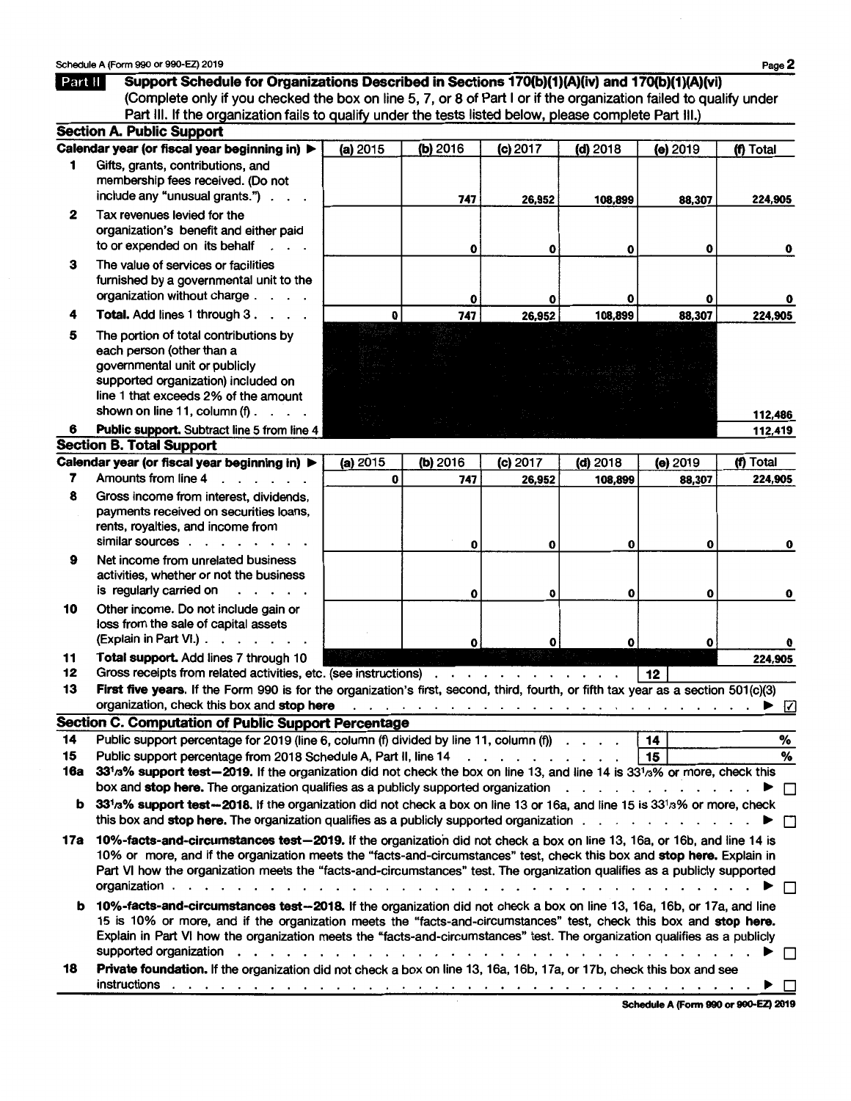**lfiill** Support Schedule for Organizations Described in Sections 170(b}(1)(A)(iv) and 170(b)(1)(A)(vi) (Complete only if you checked the box on line 5, 7, or 8 of Part I or if the organization failed to qualify under Part III. If the organization fails to qualify under the tests listed below, please complete Part III.) Section A. Public Support Calendar year (or fiscal year beginning in)  $\triangleright$  (a) 2015 (b) 2016 (c) 2017 (d) 2018 (e) 2019 (f) Total Gifts, grants, contributions, and membership fees received. (Do not include any "unusual grants." $\cdots$ . 747 26,952 108,899 88,307 224,905 2 Tax revenues levied for the organization's benefit and either paid to or expended on its behalf 0 0 0 0 0 3 The value of services or facilities furnished by a governmental unit to the organization without charge . . . .  $\Omega$ 88,307 747 26,952 108,899 224.905 4 Total. Add lines 1 through 3. . . .  $\mathbf{o}$ 5 The portion of total contributions by each person (other than a governmental unit or publicly supported organization) included on line 1 that exceeds 2% of the amount shown on line 11, column  $(f)$  . . . 112,486 6 Public support. Subtract line 5 from line 4 112,419 **Section B. Total Support** Calendar year (or fiscal year beginning in)  $\triangleright$  (a) 2015 (b) 2016 (c) 2017 (d) 2018 (e) 2019 (f) Total 7 Amounts from line 4 ... Amounts from line 4 . . . . . . 8 Gross income from interest, dividends, payments received on securities loans, rents, royalties, and income from similar sources . . . . . . .  $\mathbf{o}$  $\mathbf{o}$  $\mathbf{o}$  $\mathbf{0}$ O 9 Net income from unrelated business activities, whether or not the business is regularly carried on . . . . . 0 0 0 0 0 0 10 Other income. Do not include gain or loss from the sale of capital assets (Explain in Part VI.)  $\ldots$  . . . . .  $\mathbf 0$  $\mathbf{o}$ O  $\Omega$  $\Omega$ 11 Total support. Add lines 7 through 10 224,905 12 Gross receipts from related activities, etc. (see instructions) . . . . . . . . . . . . | 12 | 13 First five years. If the Form 990 is for the organization's first, second, third, fourth, or fifth tax year as a section 501(c)(3) organization, check this box and stop here . . . . . . . . . . . . . . . . . . . . . . . ~ 0 Section C. Computation of Public Support Percentage 14 Public support percentage for 2019 (line 6, column (f) divided by line 11, column (f)  $\ldots$ . [14] 15 Public support percentage from 2018 Schedule A, Part II, line 14 . . . . . . . . . . . 15 16a  $331/3\%$  support test-2019. If the organization did not check the box on line 13, and line 14 is  $331/3\%$  or more, check this box and stop here. The organization qualifies as a publicly supported organization  $\dots \dots \dots$ **b** 33<sup>1</sup>/<sub>3</sub>% support test-2018. If the organization did not check a box on line 13 or 16a, and line 15 is  $33^{1/3}$ % or more, check this box and stop here. The organization qualifies as a publicly supported organization  $\ldots$ . . . . . . . . .  $\blacktriangleright \Box$ 17a 10%-facts-and-circumstances test-2019. If the organization did not check a box on line 13, 16a, or 16b, and line 14 is 10% or more, and if the organization meets the "facts-and-circumstances" test, check this box and stop here. Explain in Part VI how the organization meets the "facts-and-circumstances" test. The organization qualifies as a publicly supported organization . . . . . . . . . . . . . . . . . . . . . . . . . . . . . . . . . . . . ~ D b 10%-facts-and-circumstances test-2018. If the organization did not check a box on line 13, 16a, 16b, or 17a, and line 15 is 10% or more, and if the organization meets the "facts-and-circumstances" test, check this box and stop here. Explain in Part VI how the organization meets the "facts-and-circumstances" test. The organization qualifies as a publicly supported organization . . . . . . . . . . . . . . . . . . . . . . . . . . . . . . . ..,. D

18 Private foundation. If the organization did not check a box on line 13, 16a, 16b, 17a, or 17b, check this box and see instructions . . . . . . . . . . . . . . . . . . . . . . . . . . . . . . . . . . . ~D

Schedule A (Fonn 990 or 990-EZ) 2019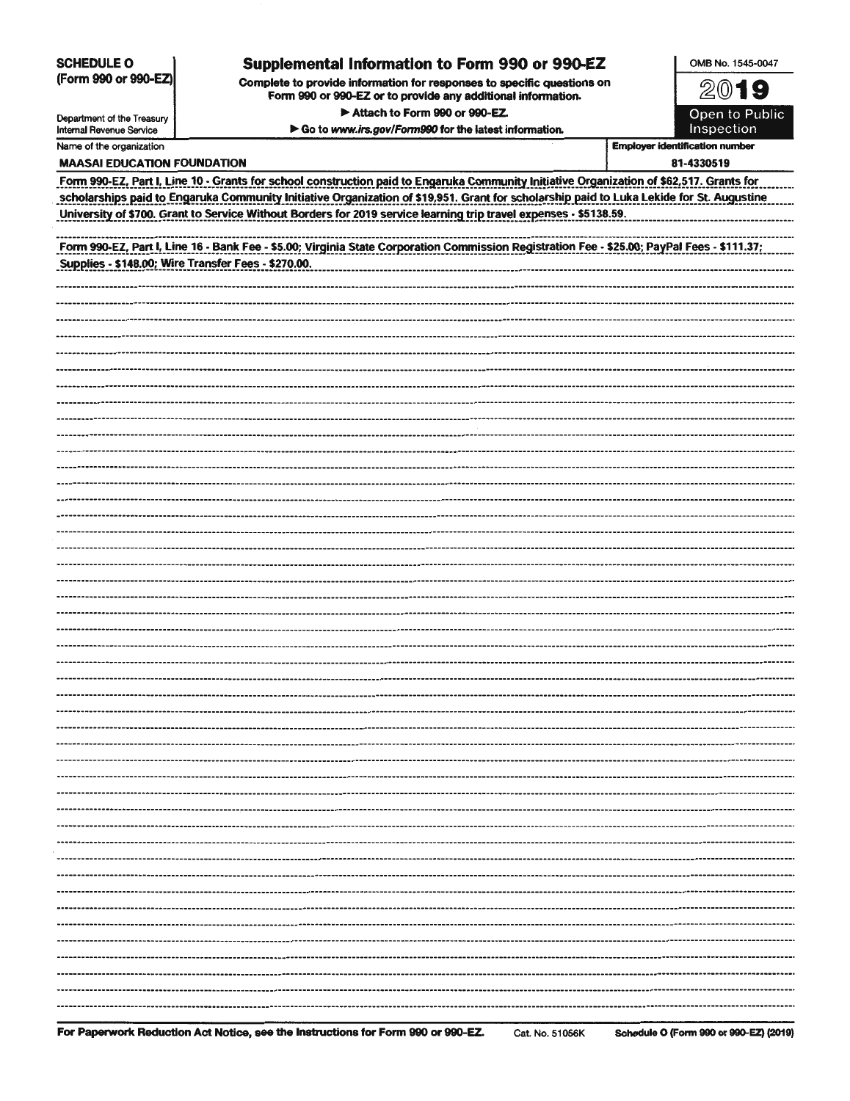**SCHEDULE O** (Form 990 or 990-EZ)

## **Supplemental Information to Form 990 or 990-EZ**

Complete to provide information for responses to specific questions on Form 990 or 990-EZ or to provide any additional information • Attach to Form 990 or 990-EZ.

▶ Go to www.irs.gov/Form990 for the latest information.

~©19

OMB No. 1545-0047

Open to Public lnspection

| Department of the Treasury<br><b>Internal Revenue Service</b> |
|---------------------------------------------------------------|
| Name of the organization                                      |

**Employer identification number** 

| <b>MAASAI EDUCATION FOUNDATION</b>                                                                                                          | 81-4330519 |
|---------------------------------------------------------------------------------------------------------------------------------------------|------------|
| Form 990-EZ, Part I, Line 10 - Grants for school construction paid to Engaruka Community Initiative Organization of \$62,517. Grants for    |            |
| scholarships paid to Engaruka Community Initiative Organization of \$19,951. Grant for scholarship paid to Luka Lekide for St. Augustine.   |            |
| University of \$700. Grant to Service Without Borders for 2019 service learning trip travel expenses - \$5138.59.                           |            |
|                                                                                                                                             |            |
| Form 990-EZ, Part I, Line 16 - Bank Fee - \$5.00; Virginia State Corporation Commission Registration Fee - \$25.00; PayPal Fees - \$111.37; |            |
| Supplies - \$148.00; Wire Transfer Fees - \$270.00.                                                                                         |            |
|                                                                                                                                             |            |
|                                                                                                                                             |            |
|                                                                                                                                             |            |
|                                                                                                                                             |            |
|                                                                                                                                             |            |
|                                                                                                                                             |            |
|                                                                                                                                             |            |
|                                                                                                                                             |            |
|                                                                                                                                             |            |
|                                                                                                                                             |            |
|                                                                                                                                             |            |
|                                                                                                                                             |            |
|                                                                                                                                             |            |
|                                                                                                                                             |            |
|                                                                                                                                             |            |
|                                                                                                                                             |            |
|                                                                                                                                             |            |
|                                                                                                                                             |            |
|                                                                                                                                             |            |
|                                                                                                                                             |            |
|                                                                                                                                             |            |
|                                                                                                                                             |            |
|                                                                                                                                             |            |
|                                                                                                                                             |            |
|                                                                                                                                             |            |
|                                                                                                                                             |            |
|                                                                                                                                             |            |
|                                                                                                                                             |            |
|                                                                                                                                             |            |
|                                                                                                                                             |            |
|                                                                                                                                             |            |
|                                                                                                                                             |            |
|                                                                                                                                             |            |
|                                                                                                                                             |            |
|                                                                                                                                             |            |
|                                                                                                                                             |            |
|                                                                                                                                             |            |
|                                                                                                                                             |            |
|                                                                                                                                             |            |
|                                                                                                                                             |            |
|                                                                                                                                             |            |
|                                                                                                                                             |            |
|                                                                                                                                             |            |
|                                                                                                                                             |            |
|                                                                                                                                             |            |
|                                                                                                                                             |            |
|                                                                                                                                             |            |
|                                                                                                                                             |            |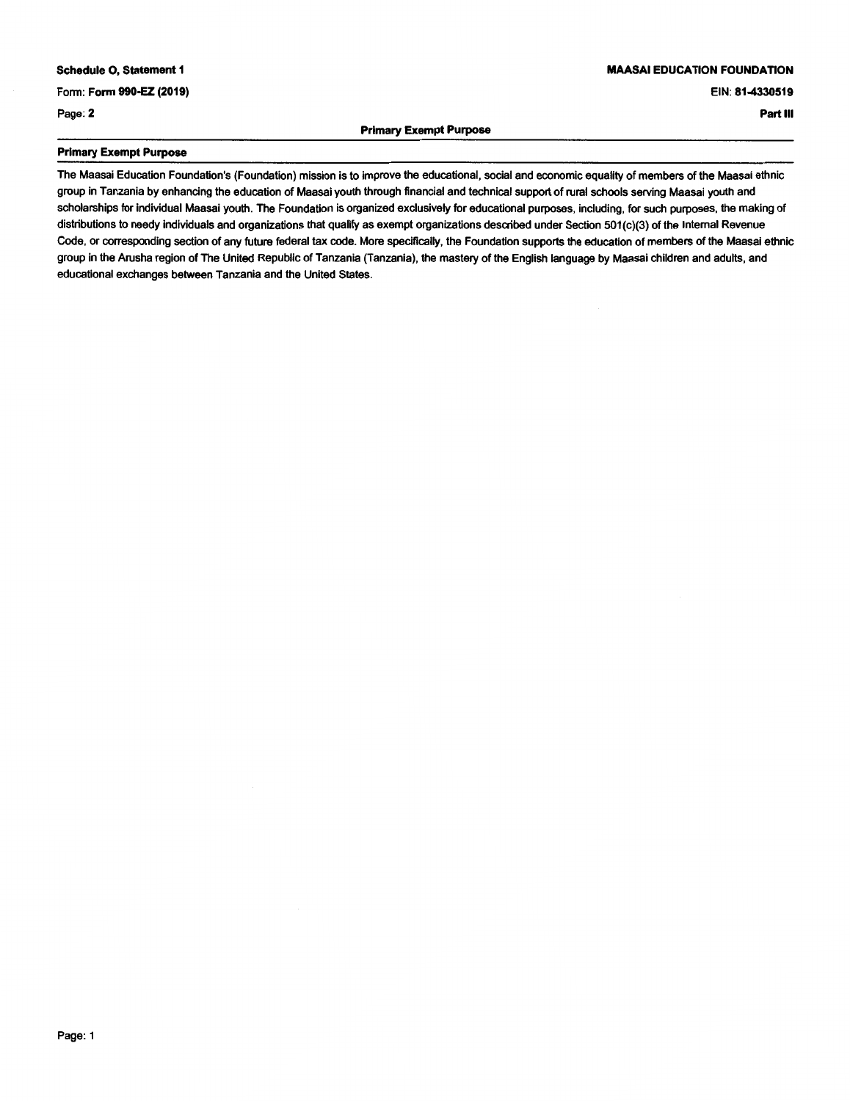### **MAASAI EDUCATION FOUNDATION**

#### EIN: **81-4330519**

**Part Ill** 

Page: 2

#### **Primary Exempt Purpose**

### **Primary Exempt Purpose**

The Maasai Education Foundation's (Foundation) mission is to improve the educational, social and economic equality of members of the Maasai ethnic group in Tanzania by enhancing the education of Maasai youth through financial and technical support of rural schools serving Maasai youth and scholarships for individual Maasai youth. The Foundation is organized exclusively for educational purposes, including, for such purposes, the making of distributions to needy individuals and organizations that qualify as exempt organizations described under Section 501 (c)(3) of the Internal Revenue Code, or corresponding section of any future federal tax code. More specifically, the Foundation supports the education of members of the Maasai ethnic group in the Arusha region of The United Republic of Tanzania (Tanzania), the mastery of the English language by Maasai children and adults, and educational exchanges between Tanzania and the United States.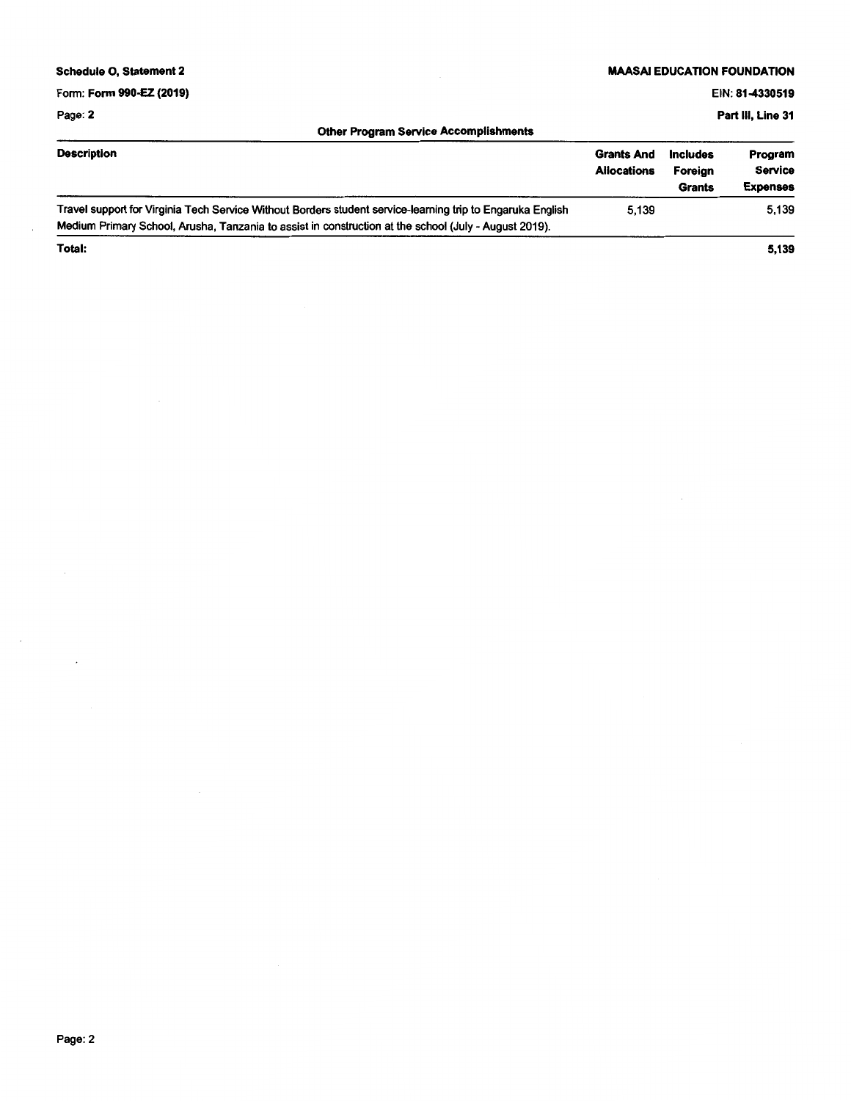| <b>Schedule O. Statement 2</b>                                                                                                                                                                                      | <b>MAASAI EDUCATION FOUNDATION</b>      |                                             |                                              |  |  |
|---------------------------------------------------------------------------------------------------------------------------------------------------------------------------------------------------------------------|-----------------------------------------|---------------------------------------------|----------------------------------------------|--|--|
| Form: Form 990-EZ (2019)                                                                                                                                                                                            |                                         |                                             | EIN: 81-4330519                              |  |  |
| Page: 2                                                                                                                                                                                                             | Part III, Line 31                       |                                             |                                              |  |  |
| <b>Other Program Service Accomplishments</b>                                                                                                                                                                        |                                         |                                             |                                              |  |  |
| <b>Description</b>                                                                                                                                                                                                  | <b>Grants And</b><br><b>Allocations</b> | <b>Includes</b><br>Foreian<br><b>Grants</b> | Program<br><b>Service</b><br><b>Expenses</b> |  |  |
| Travel support for Virginia Tech Service Without Borders student service-learning trip to Engaruka English<br>Medium Primary School, Arusha, Tanzania to assist in construction at the school (July - August 2019). | 5.139                                   |                                             | 5,139                                        |  |  |
| Total:                                                                                                                                                                                                              |                                         |                                             | 5,139                                        |  |  |

 $\overline{\phantom{a}}$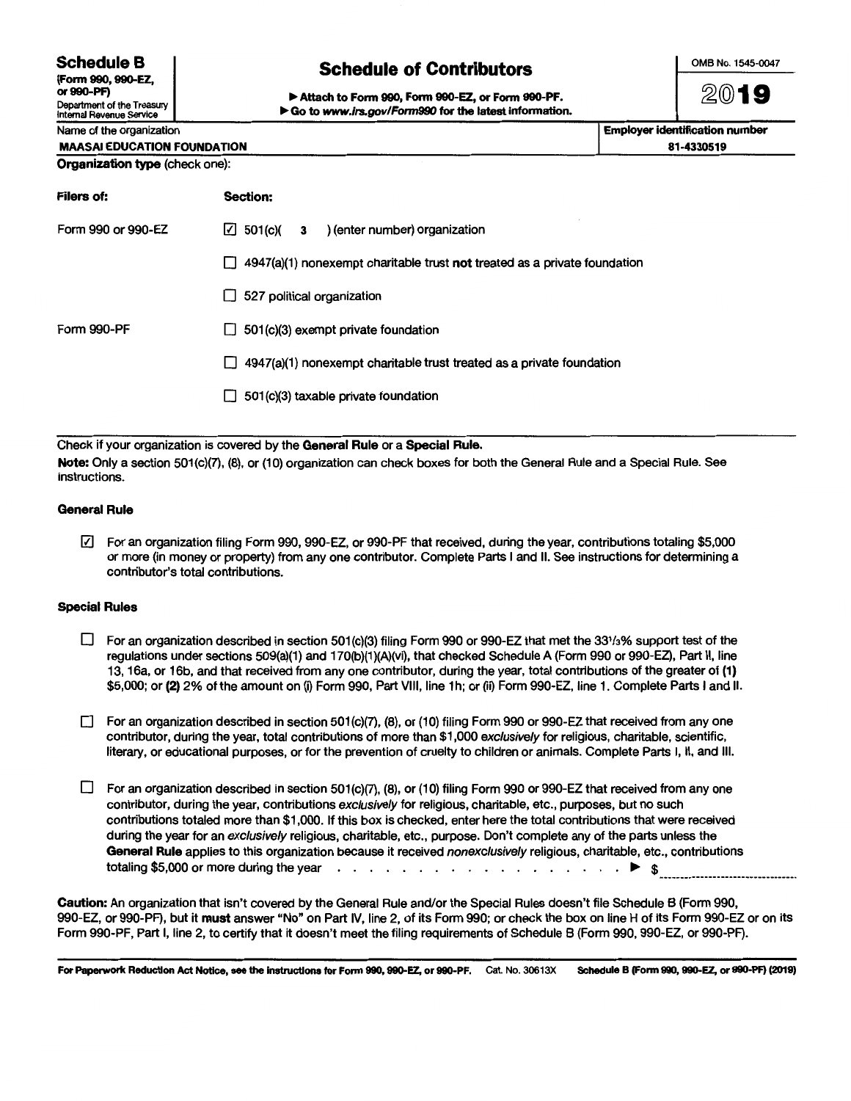**Schedule B** 

(Form 990, 990-EZ, or990-PF)

Department of the Treasury Internal Revenue Service

# **Schedule of Contributors**

OMB No. 1545-0047

~@19

.,. Attach to Form 990, Form 990-EZ, or Form 990-PF. ▶ Go to www.irs.gov/Form990 for the latest information.

| Name of the organization           | <b>Employer identification number</b> |
|------------------------------------|---------------------------------------|
| <b>MAASAI EDUCATION FOUNDATION</b> | 81-4330519                            |
| Organization type (check one):     |                                       |

| <b>Filers of:</b>  | <b>Section:</b>                                                                  |
|--------------------|----------------------------------------------------------------------------------|
| Form 990 or 990-EZ | $\boxed{\check{\phantom{1}}}$ 501(c)( 3 ) (enter number) organization            |
|                    | $\Box$ 4947(a)(1) nonexempt charitable trust not treated as a private foundation |
|                    | 527 political organization<br>LL                                                 |
| <b>Form 990-PF</b> | 501(c)(3) exempt private foundation<br>II.                                       |
|                    | 4947(a)(1) nonexempt charitable trust treated as a private foundation<br>L L     |
|                    | 501(c)(3) taxable private foundation<br>$\mathsf{L}$                             |
|                    |                                                                                  |

Check if your organization is covered by the General Rule or a Special Rule. Note: Only a section 501(c)(7), (8), or (10) organization can check boxes for both the General Rule and a Special Rule. See instructions.

### General Rule

0 For an organization filing Form 990, 990-EZ, or 990-PF that received, during the year, contributions totaling \$5,000 or more (in money or property) from any one contributor. Complete Parts I and II. See instructions for determining a contributor's total contributions.

#### Special Rules

- $\square$  For an organization described in section 501(c)(3) filing Form 990 or 990-EZ that met the 331/3% support test of the regulations under sections 509(a)(1) and 170(b)(1)(A)(vi), that checked Schedule A (Form 990 or 990-EZ), Part II, line 13, 16a, or 16b, and that received from any one contributor, during the year, total contributions of the greater of (1) \$5,000; or (2) 2% of the amount on (i) Form 990, Part VIII, line 1 h; or (ii) Form 990-EZ, line 1. Complete Parts I and II.
- For an organization described in section 501(c)(7), (8), or (10) filing Form 990 or 990-EZ that received from any one contributor, during the year, total contributions of more than \$1,000 exclusively for religious, charitable, scientific, literary, or educational purposes, or for the prevention of cruelty to children or animals. Complete Parts I, II, and Ill.
- $\square$  For an organization described in section 501(c)(7), (8), or (10) filing Form 990 or 990-EZ that received from any one contributor, during the year, contributions exclusively for religious, charitable, etc., purposes, but no such contributions totaled more than \$1,000. If this box is checked, enter here the total contributions that were received during the year for an exclusively religious, charitable, etc., purpose. Don't complete any of the parts unless the General Rule applies to this organization because it received nonexclusively religious, charitable, etc., contributions totaling \$5,000 or more during the year  $\cdots$  . . . . . . . . . . . . . . . . .  $\blacktriangleright$  \$

Caution: An organization that isn't covered by the General Rule and/or the Special Rules doesn't file Schedule 8 (Form 990, 990-EZ, or 990-PF), but it must answer "No" on Part IV, line 2, of its Form 990; or check the box on line H of its Form 990-EZ or on its Form 990-PF, Part I, line 2, to certify that it doesn't meet the filing requirements of Schedule 8 (Form 990, 990-EZ, or 990-PF).

For Paperwork Reduction Act Notice, see the Instructions for Fonn 990, 990-EZ, or 990-PF. Cat. No. 30613X Schedule B (Form 990, 990-EZ, or 990-PF) (2019)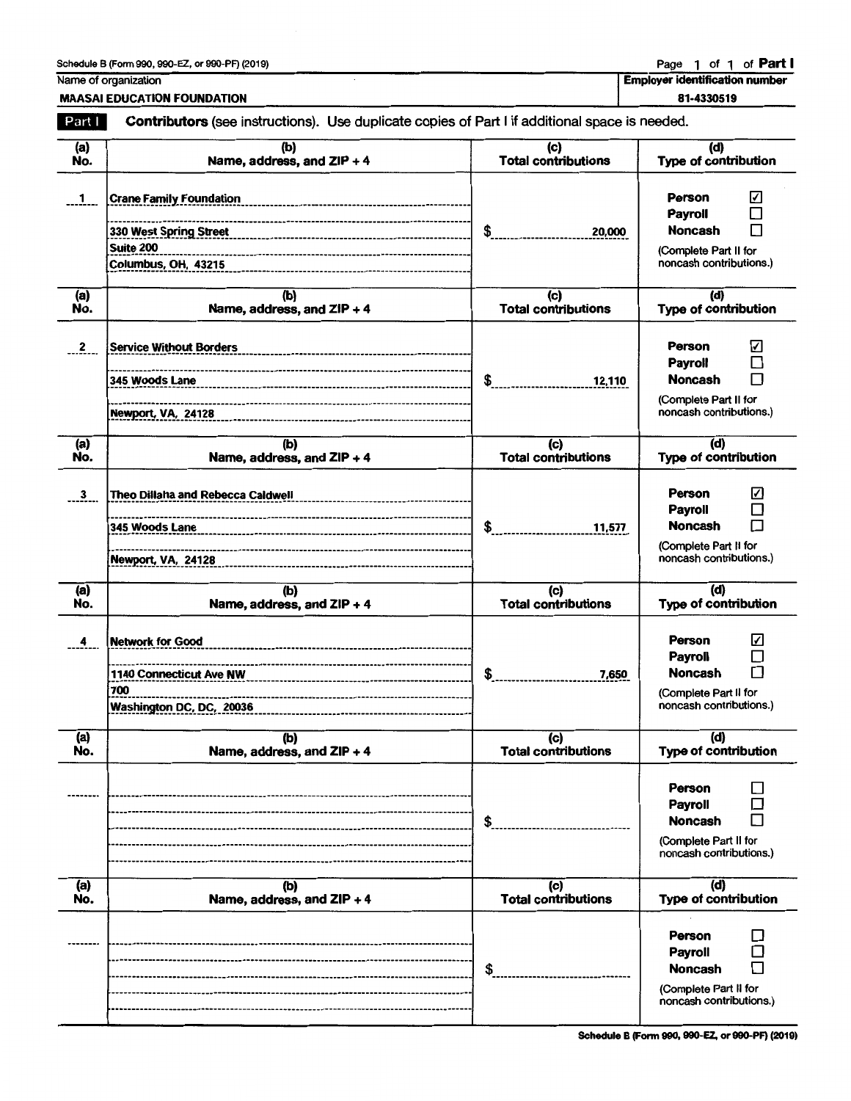## Schedule B (Form 990, 990-EZ, or 990-PF) (2019) Page 1 of 1 of Part I

Name of organization

MAASAI EDUCATION FOUNDATION

Employer identification number

| 81-4330519 |  |
|------------|--|
|            |  |

| Part I       | Contributors (see instructions). Use duplicate copies of Part I if additional space is needed.                                       |                                              |                                                                                                                           |
|--------------|--------------------------------------------------------------------------------------------------------------------------------------|----------------------------------------------|---------------------------------------------------------------------------------------------------------------------------|
| (a)<br>No.   | (b)<br>Name, address, and ZIP + 4                                                                                                    | (c)<br><b>Total contributions</b>            | (d)<br>Type of contribution                                                                                               |
| $\mathbf{1}$ | <b>Crane Family Foundation</b><br>330 West Spring Street<br>Suite 200<br>------------------------------------<br>Columbus, OH, 43215 | \$<br>20,000                                 | <b>Person</b><br>⊻<br><b>Payroll</b><br>П<br><b>Noncash</b><br>(Complete Part II for<br>noncash contributions.)           |
| (a)<br>No.   | (b)<br>Name, address, and $ZIP + 4$                                                                                                  | $\overline{c}$<br><b>Total contributions</b> | (d)<br>Type of contribution                                                                                               |
| $\mathbf{2}$ | <b>Service Without Borders</b><br>345 Woods Lane<br>Newport, VA, 24128                                                               | \$<br>12,110                                 | Person<br>☑<br>П<br><b>Payroll</b><br><b>Noncash</b><br>П<br>(Complete Part II for<br>noncash contributions.)             |
| (a)<br>No.   | (b)<br>Name, address, and $ZIP + 4$                                                                                                  | (c)<br><b>Total contributions</b>            | (d)<br>Type of contribution                                                                                               |
| 3            | <b>Theo Dillaha and Rebecca Caldwell</b><br>--------------------------------<br>Newport, VA, 24128                                   | \$<br>11,577                                 | ☑<br><b>Person</b><br><b>Payroll</b><br>П<br><b>Noncash</b><br>П<br>(Complete Part II for<br>noncash contributions.)      |
| (a)<br>No.   | (b)<br>Name, address, and ZIP + 4                                                                                                    | $\overline{c}$<br><b>Total contributions</b> | (d)<br><b>Type of contribution</b>                                                                                        |
| 4            | <b>Network for Good</b><br>1140 Connecticut Ave NW<br>700<br>Washington DC, DC, 20036                                                | \$<br>7,650                                  | ☑<br><b>Person</b><br><b>Payroll</b><br>$\Box$<br>□<br><b>Noncash</b><br>(Complete Part II for<br>noncash contributions.) |
| (a)<br>No.   | (b)<br>Name, address, and ZIP + 4                                                                                                    | (c)<br><b>Total contributions</b>            | (d)<br>Type of contribution                                                                                               |
|              |                                                                                                                                      | \$                                           | Person<br>Payroll<br><b>Noncash</b><br>(Complete Part II for<br>noncash contributions.)                                   |
| (a)<br>No.   | (b)<br>Name, address, and ZIP + 4                                                                                                    | (c)<br><b>Total contributions</b>            | (d)<br>Type of contribution                                                                                               |
|              |                                                                                                                                      | \$                                           | <b>Person</b><br><b>Payroll</b><br><b>Noncash</b><br>(Complete Part II for<br>noncash contributions.)                     |

Schedule B (Fonn 990, 990-EZ, or 990-PF) (2019)